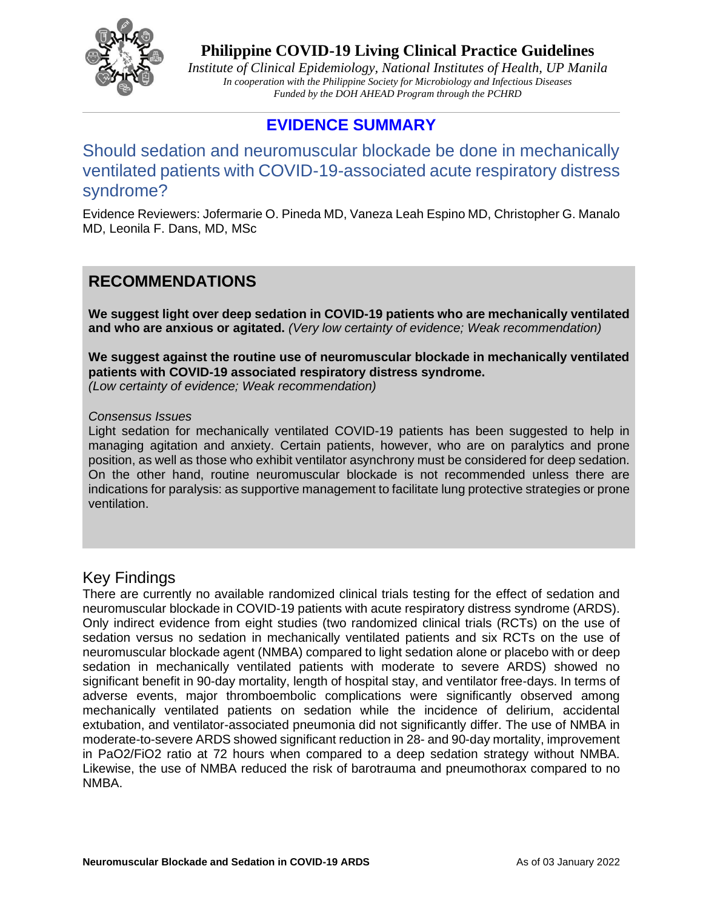

*Institute of Clinical Epidemiology, National Institutes of Health, UP Manila In cooperation with the Philippine Society for Microbiology and Infectious Diseases Funded by the DOH AHEAD Program through the PCHRD*

## **EVIDENCE SUMMARY**

Should sedation and neuromuscular blockade be done in mechanically ventilated patients with COVID-19-associated acute respiratory distress syndrome?

Evidence Reviewers: Jofermarie O. Pineda MD, Vaneza Leah Espino MD, Christopher G. Manalo MD, Leonila F. Dans, MD, MSc

## **RECOMMENDATIONS**

**We suggest light over deep sedation in COVID-19 patients who are mechanically ventilated and who are anxious or agitated.** *(Very low certainty of evidence; Weak recommendation)*

**We suggest against the routine use of neuromuscular blockade in mechanically ventilated patients with COVID-19 associated respiratory distress syndrome.** 

*(Low certainty of evidence; Weak recommendation)*

#### *Consensus Issues*

Light sedation for mechanically ventilated COVID-19 patients has been suggested to help in managing agitation and anxiety. Certain patients, however, who are on paralytics and prone position, as well as those who exhibit ventilator asynchrony must be considered for deep sedation. On the other hand, routine neuromuscular blockade is not recommended unless there are indications for paralysis: as supportive management to facilitate lung protective strategies or prone ventilation.

## Key Findings

There are currently no available randomized clinical trials testing for the effect of sedation and neuromuscular blockade in COVID-19 patients with acute respiratory distress syndrome (ARDS). Only indirect evidence from eight studies (two randomized clinical trials (RCTs) on the use of sedation versus no sedation in mechanically ventilated patients and six RCTs on the use of neuromuscular blockade agent (NMBA) compared to light sedation alone or placebo with or deep sedation in mechanically ventilated patients with moderate to severe ARDS) showed no significant benefit in 90-day mortality, length of hospital stay, and ventilator free-days. In terms of adverse events, major thromboembolic complications were significantly observed among mechanically ventilated patients on sedation while the incidence of delirium, accidental extubation, and ventilator-associated pneumonia did not significantly differ. The use of NMBA in moderate-to-severe ARDS showed significant reduction in 28- and 90-day mortality, improvement in PaO2/FiO2 ratio at 72 hours when compared to a deep sedation strategy without NMBA. Likewise, the use of NMBA reduced the risk of barotrauma and pneumothorax compared to no NMBA.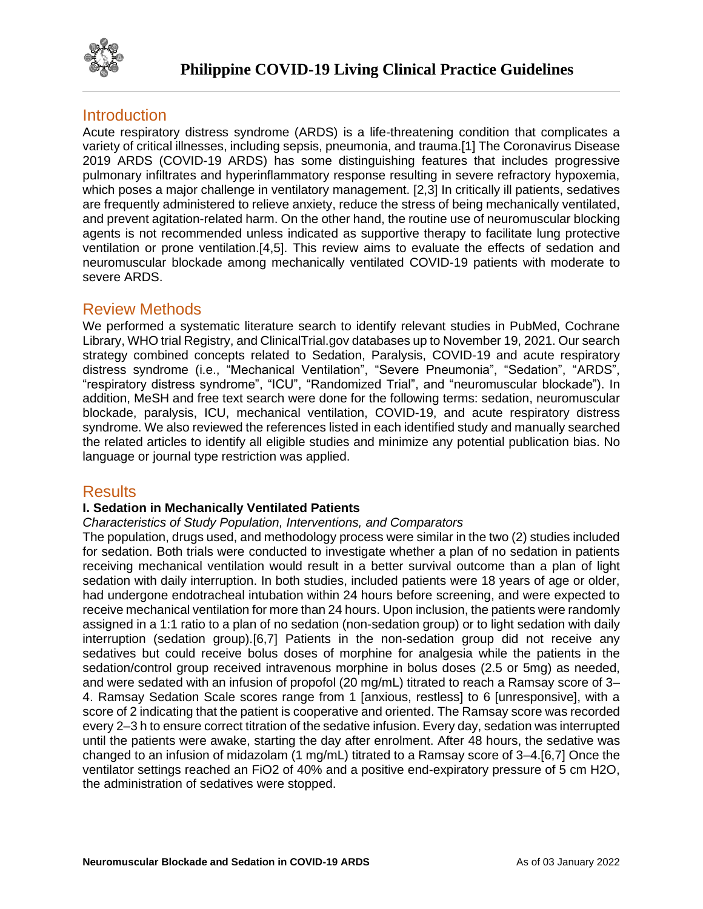

## **Introduction**

Acute respiratory distress syndrome (ARDS) is a life-threatening condition that complicates a variety of critical illnesses, including sepsis, pneumonia, and trauma.[1] The Coronavirus Disease 2019 ARDS (COVID-19 ARDS) has some distinguishing features that includes progressive pulmonary infiltrates and hyperinflammatory response resulting in severe refractory hypoxemia, which poses a major challenge in ventilatory management. [2,3] In critically ill patients, sedatives are frequently administered to relieve anxiety, reduce the stress of being mechanically ventilated, and prevent agitation-related harm. On the other hand, the routine use of neuromuscular blocking agents is not recommended unless indicated as supportive therapy to facilitate lung protective ventilation or prone ventilation.[4,5]. This review aims to evaluate the effects of sedation and neuromuscular blockade among mechanically ventilated COVID-19 patients with moderate to severe ARDS.

## Review Methods

We performed a systematic literature search to identify relevant studies in PubMed, Cochrane Library, WHO trial Registry, and ClinicalTrial.gov databases up to November 19, 2021. Our search strategy combined concepts related to Sedation, Paralysis, COVID-19 and acute respiratory distress syndrome (i.e., "Mechanical Ventilation", "Severe Pneumonia", "Sedation", "ARDS", "respiratory distress syndrome", "ICU", "Randomized Trial", and "neuromuscular blockade"). In addition, MeSH and free text search were done for the following terms: sedation, neuromuscular blockade, paralysis, ICU, mechanical ventilation, COVID-19, and acute respiratory distress syndrome. We also reviewed the references listed in each identified study and manually searched the related articles to identify all eligible studies and minimize any potential publication bias. No language or journal type restriction was applied.

## **Results**

### **I. Sedation in Mechanically Ventilated Patients**

### *Characteristics of Study Population, Interventions, and Comparators*

The population, drugs used, and methodology process were similar in the two (2) studies included for sedation. Both trials were conducted to investigate whether a plan of no sedation in patients receiving mechanical ventilation would result in a better survival outcome than a plan of light sedation with daily interruption. In both studies, included patients were 18 years of age or older, had undergone endotracheal intubation within 24 hours before screening, and were expected to receive mechanical ventilation for more than 24 hours. Upon inclusion, the patients were randomly assigned in a 1:1 ratio to a plan of no sedation (non-sedation group) or to light sedation with daily interruption (sedation group).[6,7] Patients in the non-sedation group did not receive any sedatives but could receive bolus doses of morphine for analgesia while the patients in the sedation/control group received intravenous morphine in bolus doses (2.5 or 5mg) as needed, and were sedated with an infusion of propofol (20 mg/mL) titrated to reach a Ramsay score of 3– 4. Ramsay Sedation Scale scores range from 1 [anxious, restless] to 6 [unresponsive], with a score of 2 indicating that the patient is cooperative and oriented. The Ramsay score was recorded every 2–3 h to ensure correct titration of the sedative infusion. Every day, sedation was interrupted until the patients were awake, starting the day after enrolment. After 48 hours, the sedative was changed to an infusion of midazolam (1 mg/mL) titrated to a Ramsay score of 3–4.[6,7] Once the ventilator settings reached an FiO2 of 40% and a positive end-expiratory pressure of 5 cm H2O, the administration of sedatives were stopped.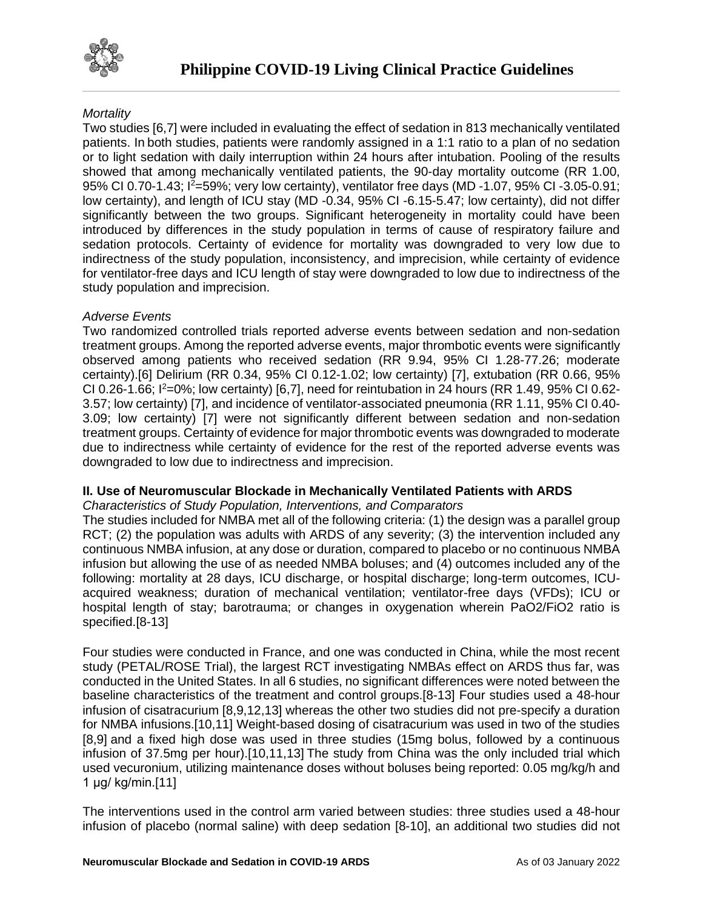

## *Mortality*

Two studies [6,7] were included in evaluating the effect of sedation in 813 mechanically ventilated patients. In both studies, patients were randomly assigned in a 1:1 ratio to a plan of no sedation or to light sedation with daily interruption within 24 hours after intubation. Pooling of the results showed that among mechanically ventilated patients, the 90-day mortality outcome (RR 1.00, 95% CI 0.70-1.43; I<sup>2</sup>=59%; very low certainty), ventilator free days (MD -1.07, 95% CI -3.05-0.91; low certainty), and length of ICU stay (MD -0.34, 95% CI -6.15-5.47; low certainty), did not differ significantly between the two groups. Significant heterogeneity in mortality could have been introduced by differences in the study population in terms of cause of respiratory failure and sedation protocols. Certainty of evidence for mortality was downgraded to very low due to indirectness of the study population, inconsistency, and imprecision, while certainty of evidence for ventilator-free days and ICU length of stay were downgraded to low due to indirectness of the study population and imprecision.

### *Adverse Events*

Two randomized controlled trials reported adverse events between sedation and non-sedation treatment groups. Among the reported adverse events, major thrombotic events were significantly observed among patients who received sedation (RR 9.94, 95% CI 1.28-77.26; moderate certainty).[6] Delirium (RR 0.34, 95% CI 0.12-1.02; low certainty) [7], extubation (RR 0.66, 95% CI 0.26-1.66;  $I^2=0\%$ ; low certainty) [6,7], need for reintubation in 24 hours (RR 1.49, 95% CI 0.62-3.57; low certainty) [7], and incidence of ventilator-associated pneumonia (RR 1.11, 95% CI 0.40- 3.09; low certainty) [7] were not significantly different between sedation and non-sedation treatment groups. Certainty of evidence for major thrombotic events was downgraded to moderate due to indirectness while certainty of evidence for the rest of the reported adverse events was downgraded to low due to indirectness and imprecision.

### **II. Use of Neuromuscular Blockade in Mechanically Ventilated Patients with ARDS**

*Characteristics of Study Population, Interventions, and Comparators* 

The studies included for NMBA met all of the following criteria: (1) the design was a parallel group RCT; (2) the population was adults with ARDS of any severity; (3) the intervention included any continuous NMBA infusion, at any dose or duration, compared to placebo or no continuous NMBA infusion but allowing the use of as needed NMBA boluses; and (4) outcomes included any of the following: mortality at 28 days, ICU discharge, or hospital discharge; long-term outcomes, ICUacquired weakness; duration of mechanical ventilation; ventilator-free days (VFDs); ICU or hospital length of stay; barotrauma; or changes in oxygenation wherein PaO2/FiO2 ratio is specified.[8-13]

Four studies were conducted in France, and one was conducted in China, while the most recent study (PETAL/ROSE Trial), the largest RCT investigating NMBAs effect on ARDS thus far, was conducted in the United States. In all 6 studies, no significant differences were noted between the baseline characteristics of the treatment and control groups.[8-13] Four studies used a 48-hour infusion of cisatracurium [8,9,12,13] whereas the other two studies did not pre-specify a duration for NMBA infusions.[10,11] Weight-based dosing of cisatracurium was used in two of the studies [8,9] and a fixed high dose was used in three studies (15mg bolus, followed by a continuous infusion of 37.5mg per hour).[10,11,13] The study from China was the only included trial which used vecuronium, utilizing maintenance doses without boluses being reported: 0.05 mg/kg/h and 1 μg/ kg/min.[11]

The interventions used in the control arm varied between studies: three studies used a 48-hour infusion of placebo (normal saline) with deep sedation [8-10], an additional two studies did not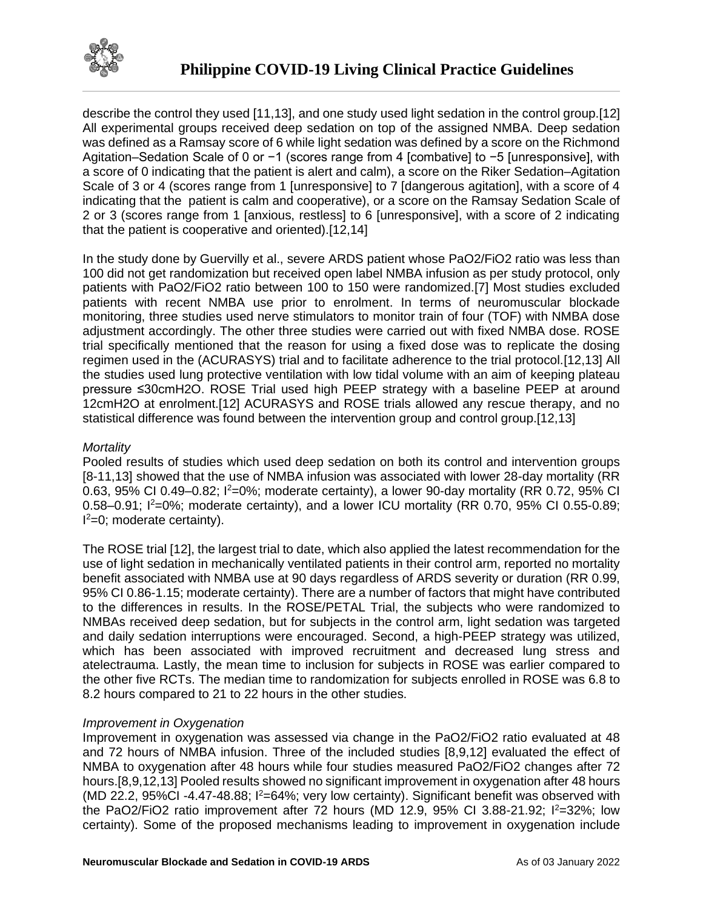

describe the control they used [11,13], and one study used light sedation in the control group.[12] All experimental groups received deep sedation on top of the assigned NMBA. Deep sedation was defined as a Ramsay score of 6 while light sedation was defined by a score on the Richmond Agitation–Sedation Scale of 0 or −1 (scores range from 4 [combative] to −5 [unresponsive], with a score of 0 indicating that the patient is alert and calm), a score on the Riker Sedation–Agitation Scale of 3 or 4 (scores range from 1 [unresponsive] to 7 [dangerous agitation], with a score of 4 indicating that the patient is calm and cooperative), or a score on the Ramsay Sedation Scale of 2 or 3 (scores range from 1 [anxious, restless] to 6 [unresponsive], with a score of 2 indicating that the patient is cooperative and oriented).[12,14]

In the study done by Guervilly et al., severe ARDS patient whose PaO2/FiO2 ratio was less than 100 did not get randomization but received open label NMBA infusion as per study protocol, only patients with PaO2/FiO2 ratio between 100 to 150 were randomized.[7] Most studies excluded patients with recent NMBA use prior to enrolment. In terms of neuromuscular blockade monitoring, three studies used nerve stimulators to monitor train of four (TOF) with NMBA dose adjustment accordingly. The other three studies were carried out with fixed NMBA dose. ROSE trial specifically mentioned that the reason for using a fixed dose was to replicate the dosing regimen used in the (ACURASYS) trial and to facilitate adherence to the trial protocol.[12,13] All the studies used lung protective ventilation with low tidal volume with an aim of keeping plateau pressure ≤30cmH2O. ROSE Trial used high PEEP strategy with a baseline PEEP at around 12cmH2O at enrolment.[12] ACURASYS and ROSE trials allowed any rescue therapy, and no statistical difference was found between the intervention group and control group.[12,13]

### *Mortality*

Pooled results of studies which used deep sedation on both its control and intervention groups [8-11,13] showed that the use of NMBA infusion was associated with lower 28-day mortality (RR 0.63, 95% CI 0.49–0.82;  $I^2=0$ %; moderate certainty), a lower 90-day mortality (RR 0.72, 95% CI 0.58–0.91;  $1^2$ =0%; moderate certainty), and a lower ICU mortality (RR 0.70, 95% CI 0.55-0.89; I <sup>2</sup>=0; moderate certainty).

The ROSE trial [12], the largest trial to date, which also applied the latest recommendation for the use of light sedation in mechanically ventilated patients in their control arm, reported no mortality benefit associated with NMBA use at 90 days regardless of ARDS severity or duration (RR 0.99, 95% CI 0.86-1.15; moderate certainty). There are a number of factors that might have contributed to the differences in results. In the ROSE/PETAL Trial, the subjects who were randomized to NMBAs received deep sedation, but for subjects in the control arm, light sedation was targeted and daily sedation interruptions were encouraged. Second, a high-PEEP strategy was utilized, which has been associated with improved recruitment and decreased lung stress and atelectrauma. Lastly, the mean time to inclusion for subjects in ROSE was earlier compared to the other five RCTs. The median time to randomization for subjects enrolled in ROSE was 6.8 to 8.2 hours compared to 21 to 22 hours in the other studies.

#### *Improvement in Oxygenation*

Improvement in oxygenation was assessed via change in the PaO2/FiO2 ratio evaluated at 48 and 72 hours of NMBA infusion. Three of the included studies [8,9,12] evaluated the effect of NMBA to oxygenation after 48 hours while four studies measured PaO2/FiO2 changes after 72 hours.[8,9,12,13] Pooled results showed no significant improvement in oxygenation after 48 hours (MD 22.2, 95%CI -4.47-48.88;  $I^2=64\%$ ; very low certainty). Significant benefit was observed with the PaO2/FiO2 ratio improvement after 72 hours (MD 12.9, 95% CI 3.88-21.92;  $1^{2}=32\%$ ; low certainty). Some of the proposed mechanisms leading to improvement in oxygenation include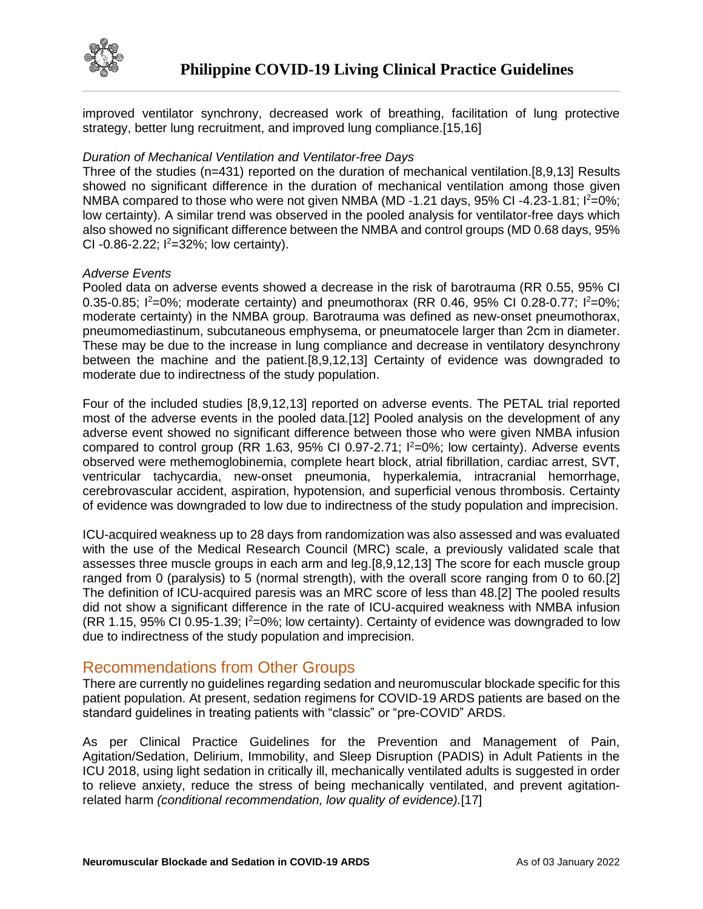

improved ventilator synchrony, decreased work of breathing, facilitation of lung protective strategy, better lung recruitment, and improved lung compliance.[15,16]

#### *Duration of Mechanical Ventilation and Ventilator-free Days*

Three of the studies (n=431) reported on the duration of mechanical ventilation.[8,9,13] Results showed no significant difference in the duration of mechanical ventilation among those given NMBA compared to those who were not given NMBA (MD -1.21 days, 95% CI -4.23-1.81;  $I^2=0\%$ ; low certainty). A similar trend was observed in the pooled analysis for ventilator-free days which also showed no significant difference between the NMBA and control groups (MD 0.68 days, 95% CI -0.86-2.22;  $1^{2}$ =32%; low certainty).

#### *Adverse Events*

Pooled data on adverse events showed a decrease in the risk of barotrauma (RR 0.55, 95% CI 0.35-0.85;  $I^2=0\%$ ; moderate certainty) and pneumothorax (RR 0.46, 95% CI 0.28-0.77;  $I^2=0\%$ ; moderate certainty) in the NMBA group. Barotrauma was defined as new-onset pneumothorax, pneumomediastinum, subcutaneous emphysema, or pneumatocele larger than 2cm in diameter. These may be due to the increase in lung compliance and decrease in ventilatory desynchrony between the machine and the patient.[8,9,12,13] Certainty of evidence was downgraded to moderate due to indirectness of the study population.

Four of the included studies [8,9,12,13] reported on adverse events. The PETAL trial reported most of the adverse events in the pooled data.[12] Pooled analysis on the development of any adverse event showed no significant difference between those who were given NMBA infusion compared to control group (RR 1.63, 95% CI 0.97-2.71;  $I^2=0\%$ ; low certainty). Adverse events observed were methemoglobinemia, complete heart block, atrial fibrillation, cardiac arrest, SVT, ventricular tachycardia, new-onset pneumonia, hyperkalemia, intracranial hemorrhage, cerebrovascular accident, aspiration, hypotension, and superficial venous thrombosis. Certainty of evidence was downgraded to low due to indirectness of the study population and imprecision.

ICU-acquired weakness up to 28 days from randomization was also assessed and was evaluated with the use of the Medical Research Council (MRC) scale, a previously validated scale that assesses three muscle groups in each arm and leg.[8,9,12,13] The score for each muscle group ranged from 0 (paralysis) to 5 (normal strength), with the overall score ranging from 0 to 60.[2] The definition of ICU-acquired paresis was an MRC score of less than 48.[2] The pooled results did not show a significant difference in the rate of ICU-acquired weakness with NMBA infusion  $(RR 1.15, 95\% \text{ CI } 0.95\text{-}1.39$ ;  $I^2=0\%$ ; low certainty). Certainty of evidence was downgraded to low due to indirectness of the study population and imprecision.

## Recommendations from Other Groups

There are currently no guidelines regarding sedation and neuromuscular blockade specific for this patient population. At present, sedation regimens for COVID-19 ARDS patients are based on the standard guidelines in treating patients with "classic" or "pre-COVID" ARDS.

As per Clinical Practice Guidelines for the Prevention and Management of Pain, Agitation/Sedation, Delirium, Immobility, and Sleep Disruption (PADIS) in Adult Patients in the ICU 2018, using light sedation in critically ill, mechanically ventilated adults is suggested in order to relieve anxiety, reduce the stress of being mechanically ventilated, and prevent agitationrelated harm *(conditional recommendation, low quality of evidence).*[17]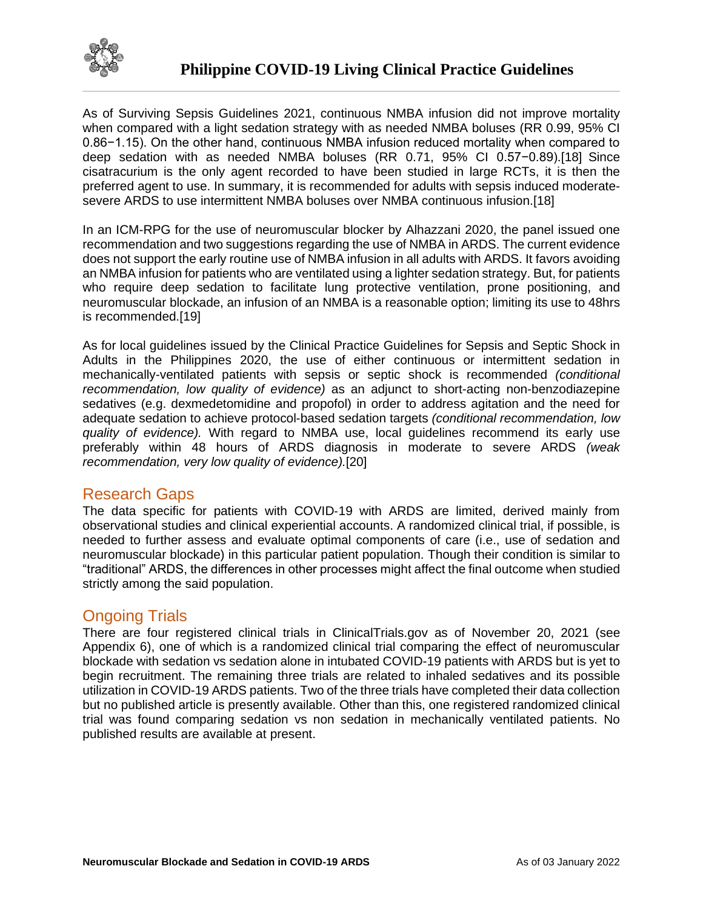

As of Surviving Sepsis Guidelines 2021, continuous NMBA infusion did not improve mortality when compared with a light sedation strategy with as needed NMBA boluses (RR 0.99, 95% CI 0.86−1.15). On the other hand, continuous NMBA infusion reduced mortality when compared to deep sedation with as needed NMBA boluses (RR 0.71, 95% CI 0.57−0.89).[18] Since cisatracurium is the only agent recorded to have been studied in large RCTs, it is then the preferred agent to use. In summary, it is recommended for adults with sepsis induced moderatesevere ARDS to use intermittent NMBA boluses over NMBA continuous infusion.[18]

In an ICM-RPG for the use of neuromuscular blocker by Alhazzani 2020, the panel issued one recommendation and two suggestions regarding the use of NMBA in ARDS. The current evidence does not support the early routine use of NMBA infusion in all adults with ARDS. It favors avoiding an NMBA infusion for patients who are ventilated using a lighter sedation strategy. But, for patients who require deep sedation to facilitate lung protective ventilation, prone positioning, and neuromuscular blockade, an infusion of an NMBA is a reasonable option; limiting its use to 48hrs is recommended.[19]

As for local guidelines issued by the Clinical Practice Guidelines for Sepsis and Septic Shock in Adults in the Philippines 2020, the use of either continuous or intermittent sedation in mechanically-ventilated patients with sepsis or septic shock is recommended *(conditional recommendation, low quality of evidence)* as an adjunct to short-acting non-benzodiazepine sedatives (e.g. dexmedetomidine and propofol) in order to address agitation and the need for adequate sedation to achieve protocol-based sedation targets *(conditional recommendation, low quality of evidence).* With regard to NMBA use, local guidelines recommend its early use preferably within 48 hours of ARDS diagnosis in moderate to severe ARDS *(weak recommendation, very low quality of evidence).*[20]

## Research Gaps

The data specific for patients with COVID-19 with ARDS are limited, derived mainly from observational studies and clinical experiential accounts. A randomized clinical trial, if possible, is needed to further assess and evaluate optimal components of care (i.e., use of sedation and neuromuscular blockade) in this particular patient population. Though their condition is similar to "traditional" ARDS, the differences in other processes might affect the final outcome when studied strictly among the said population.

## Ongoing Trials

There are four registered clinical trials in ClinicalTrials.gov as of November 20, 2021 (see Appendix 6), one of which is a randomized clinical trial comparing the effect of neuromuscular blockade with sedation vs sedation alone in intubated COVID-19 patients with ARDS but is yet to begin recruitment. The remaining three trials are related to inhaled sedatives and its possible utilization in COVID-19 ARDS patients. Two of the three trials have completed their data collection but no published article is presently available. Other than this, one registered randomized clinical trial was found comparing sedation vs non sedation in mechanically ventilated patients. No published results are available at present.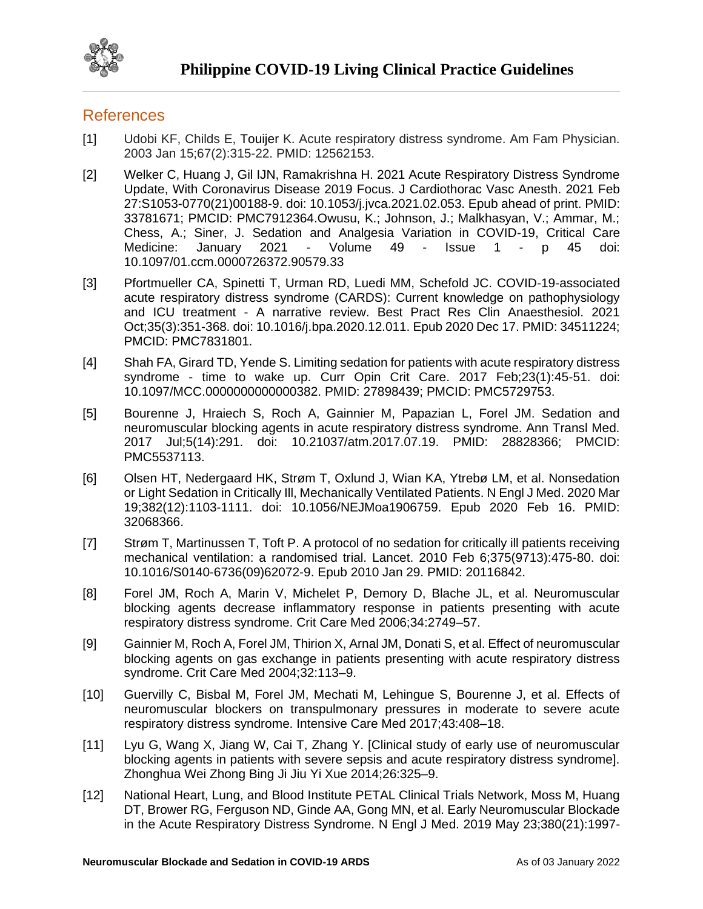

## **References**

- [1] Udobi KF, Childs E, Touijer K. Acute respiratory distress syndrome. Am Fam Physician. 2003 Jan 15;67(2):315-22. PMID: 12562153.
- [2] Welker C, Huang J, Gil IJN, Ramakrishna H. 2021 Acute Respiratory Distress Syndrome Update, With Coronavirus Disease 2019 Focus. J Cardiothorac Vasc Anesth. 2021 Feb 27:S1053-0770(21)00188-9. doi: 10.1053/j.jvca.2021.02.053. Epub ahead of print. PMID: 33781671; PMCID: PMC7912364.Owusu, K.; Johnson, J.; Malkhasyan, V.; Ammar, M.; Chess, A.; Siner, J. Sedation and Analgesia Variation in COVID-19, Critical Care Medicine: January 2021 - Volume 49 - Issue 1 - p 45 doi: 10.1097/01.ccm.0000726372.90579.33
- [3] Pfortmueller CA, Spinetti T, Urman RD, Luedi MM, Schefold JC. COVID-19-associated acute respiratory distress syndrome (CARDS): Current knowledge on pathophysiology and ICU treatment - A narrative review. Best Pract Res Clin Anaesthesiol. 2021 Oct;35(3):351-368. doi: 10.1016/j.bpa.2020.12.011. Epub 2020 Dec 17. PMID: 34511224; PMCID: PMC7831801.
- [4] Shah FA, Girard TD, Yende S. Limiting sedation for patients with acute respiratory distress syndrome - time to wake up. Curr Opin Crit Care. 2017 Feb;23(1):45-51. doi: 10.1097/MCC.0000000000000382. PMID: 27898439; PMCID: PMC5729753.
- [5] Bourenne J, Hraiech S, Roch A, Gainnier M, Papazian L, Forel JM. Sedation and neuromuscular blocking agents in acute respiratory distress syndrome. Ann Transl Med. 2017 Jul;5(14):291. doi: 10.21037/atm.2017.07.19. PMID: 28828366; PMCID: PMC5537113.
- [6] Olsen HT, Nedergaard HK, Strøm T, Oxlund J, Wian KA, Ytrebø LM, et al. Nonsedation or Light Sedation in Critically Ill, Mechanically Ventilated Patients. N Engl J Med. 2020 Mar 19;382(12):1103-1111. doi: 10.1056/NEJMoa1906759. Epub 2020 Feb 16. PMID: 32068366.
- [7] Strøm T, Martinussen T, Toft P. A protocol of no sedation for critically ill patients receiving mechanical ventilation: a randomised trial. Lancet. 2010 Feb 6;375(9713):475-80. doi: 10.1016/S0140-6736(09)62072-9. Epub 2010 Jan 29. PMID: 20116842.
- [8] Forel JM, Roch A, Marin V, Michelet P, Demory D, Blache JL, et al. Neuromuscular blocking agents decrease inflammatory response in patients presenting with acute respiratory distress syndrome. Crit Care Med 2006;34:2749–57.
- [9] Gainnier M, Roch A, Forel JM, Thirion X, Arnal JM, Donati S, et al. Effect of neuromuscular blocking agents on gas exchange in patients presenting with acute respiratory distress syndrome. Crit Care Med 2004;32:113–9.
- [10] Guervilly C, Bisbal M, Forel JM, Mechati M, Lehingue S, Bourenne J, et al. Effects of neuromuscular blockers on transpulmonary pressures in moderate to severe acute respiratory distress syndrome. Intensive Care Med 2017;43:408–18.
- [11] Lyu G, Wang X, Jiang W, Cai T, Zhang Y. [Clinical study of early use of neuromuscular blocking agents in patients with severe sepsis and acute respiratory distress syndrome]. Zhonghua Wei Zhong Bing Ji Jiu Yi Xue 2014;26:325–9.
- [12] National Heart, Lung, and Blood Institute PETAL Clinical Trials Network, Moss M, Huang DT, Brower RG, Ferguson ND, Ginde AA, Gong MN, et al. Early Neuromuscular Blockade in the Acute Respiratory Distress Syndrome. N Engl J Med. 2019 May 23;380(21):1997-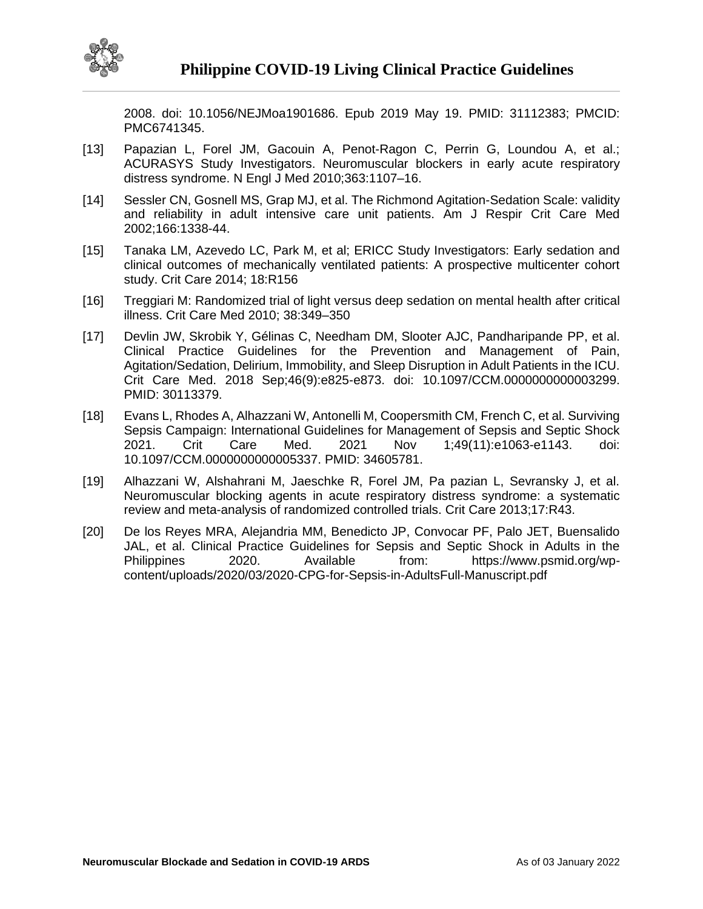

2008. doi: 10.1056/NEJMoa1901686. Epub 2019 May 19. PMID: 31112383; PMCID: PMC6741345.

- [13] Papazian L, Forel JM, Gacouin A, Penot-Ragon C, Perrin G, Loundou A, et al.; ACURASYS Study Investigators. Neuromuscular blockers in early acute respiratory distress syndrome. N Engl J Med 2010;363:1107–16.
- [14] Sessler CN, Gosnell MS, Grap MJ, et al. The Richmond Agitation-Sedation Scale: validity and reliability in adult intensive care unit patients. Am J Respir Crit Care Med 2002;166:1338-44.
- [15] Tanaka LM, Azevedo LC, Park M, et al; ERICC Study Investigators: Early sedation and clinical outcomes of mechanically ventilated patients: A prospective multicenter cohort study. Crit Care 2014; 18:R156
- [16] Treggiari M: Randomized trial of light versus deep sedation on mental health after critical illness. Crit Care Med 2010; 38:349–350
- [17] Devlin JW, Skrobik Y, Gélinas C, Needham DM, Slooter AJC, Pandharipande PP, et al. Clinical Practice Guidelines for the Prevention and Management of Pain, Agitation/Sedation, Delirium, Immobility, and Sleep Disruption in Adult Patients in the ICU. Crit Care Med. 2018 Sep;46(9):e825-e873. doi: 10.1097/CCM.0000000000003299. PMID: 30113379.
- [18] Evans L, Rhodes A, Alhazzani W, Antonelli M, Coopersmith CM, French C, et al. Surviving Sepsis Campaign: International Guidelines for Management of Sepsis and Septic Shock 2021. Crit Care Med. 2021 Nov 1;49(11):e1063-e1143. doi: 10.1097/CCM.0000000000005337. PMID: 34605781.
- [19] Alhazzani W, Alshahrani M, Jaeschke R, Forel JM, Pa pazian L, Sevransky J, et al. Neuromuscular blocking agents in acute respiratory distress syndrome: a systematic review and meta-analysis of randomized controlled trials. Crit Care 2013;17:R43.
- [20] De los Reyes MRA, Alejandria MM, Benedicto JP, Convocar PF, Palo JET, Buensalido JAL, et al. Clinical Practice Guidelines for Sepsis and Septic Shock in Adults in the Philippines 2020. Available from: https://www.psmid.org/wpcontent/uploads/2020/03/2020-CPG-for-Sepsis-in-AdultsFull-Manuscript.pdf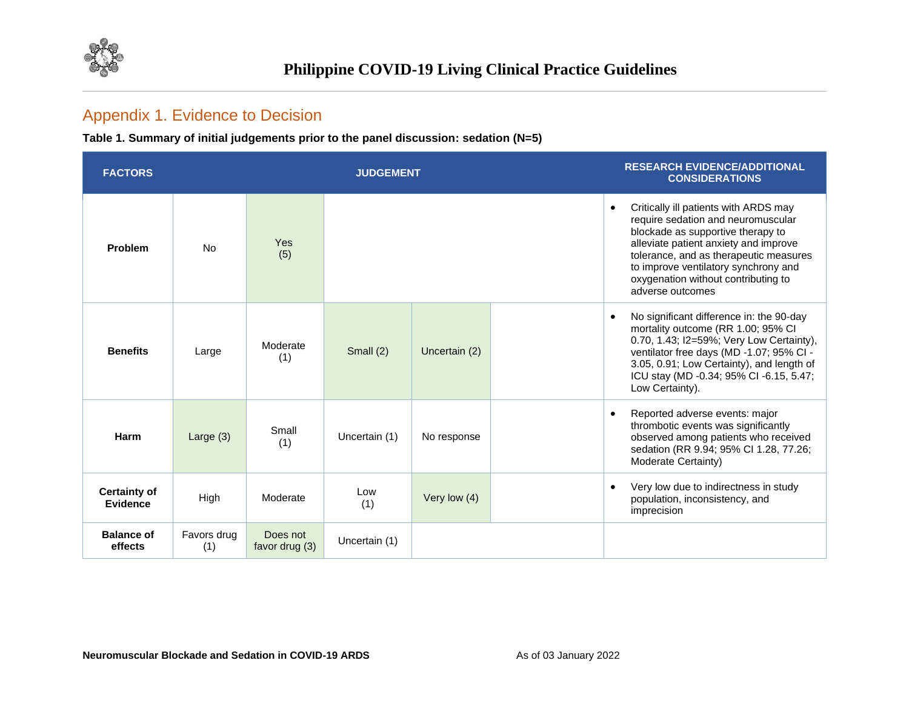

## Appendix 1. Evidence to Decision

**Table 1. Summary of initial judgements prior to the panel discussion: sedation (N=5)**

| <b>FACTORS</b>                  |                    |                            | <b>JUDGEMENT</b> |               | <b>RESEARCH EVIDENCE/ADDITIONAL</b><br><b>CONSIDERATIONS</b>                                                                                                                                                                                                                                           |
|---------------------------------|--------------------|----------------------------|------------------|---------------|--------------------------------------------------------------------------------------------------------------------------------------------------------------------------------------------------------------------------------------------------------------------------------------------------------|
| Problem                         | <b>No</b>          | Yes<br>(5)                 |                  |               | Critically ill patients with ARDS may<br>require sedation and neuromuscular<br>blockade as supportive therapy to<br>alleviate patient anxiety and improve<br>tolerance, and as therapeutic measures<br>to improve ventilatory synchrony and<br>oxygenation without contributing to<br>adverse outcomes |
| <b>Benefits</b>                 | Large              | Moderate<br>(1)            | Small $(2)$      | Uncertain (2) | No significant difference in: the 90-day<br>mortality outcome (RR 1.00; 95% CI<br>0.70, 1.43; I2=59%; Very Low Certainty),<br>ventilator free days (MD -1.07; 95% CI -<br>3.05, 0.91; Low Certainty), and length of<br>ICU stay (MD -0.34; 95% CI -6.15, 5.47;<br>Low Certainty).                      |
| Harm                            | Large $(3)$        | Small<br>(1)               | Uncertain (1)    | No response   | Reported adverse events: major<br>thrombotic events was significantly<br>observed among patients who received<br>sedation (RR 9.94; 95% Cl 1.28, 77.26;<br>Moderate Certainty)                                                                                                                         |
| <b>Certainty of</b><br>Evidence | High               | Moderate                   | Low<br>(1)       | Very low (4)  | Very low due to indirectness in study<br>population, inconsistency, and<br>imprecision                                                                                                                                                                                                                 |
| <b>Balance of</b><br>effects    | Favors drug<br>(1) | Does not<br>favor drug (3) | Uncertain (1)    |               |                                                                                                                                                                                                                                                                                                        |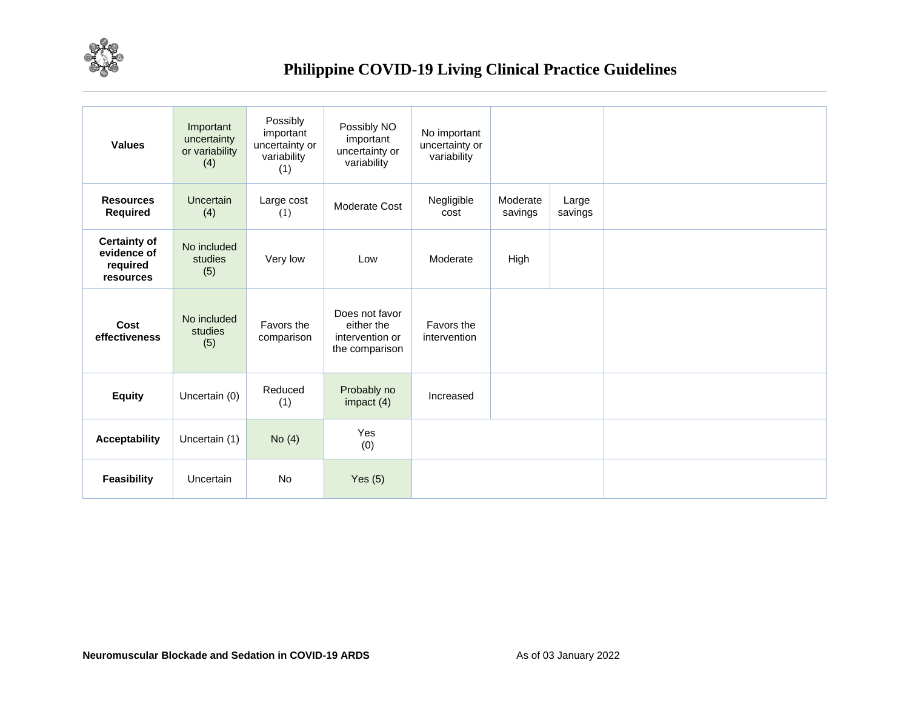

| <b>Values</b>                                               | Important<br>uncertainty<br>or variability<br>(4) | Possibly<br>important<br>uncertainty or<br>variability<br>(1) | Possibly NO<br>important<br>uncertainty or<br>variability         | No important<br>uncertainty or<br>variability |                     |                  |  |
|-------------------------------------------------------------|---------------------------------------------------|---------------------------------------------------------------|-------------------------------------------------------------------|-----------------------------------------------|---------------------|------------------|--|
| <b>Resources</b><br>Required                                | Uncertain<br>(4)                                  | Large cost<br>(1)                                             | Moderate Cost                                                     | Negligible<br>cost                            | Moderate<br>savings | Large<br>savings |  |
| <b>Certainty of</b><br>evidence of<br>required<br>resources | No included<br>studies<br>(5)                     | Very low                                                      | Low                                                               | Moderate                                      | High                |                  |  |
| Cost<br>effectiveness                                       | No included<br>studies<br>(5)                     | Favors the<br>comparison                                      | Does not favor<br>either the<br>intervention or<br>the comparison | Favors the<br>intervention                    |                     |                  |  |
| <b>Equity</b>                                               | Uncertain (0)                                     | Reduced<br>(1)                                                | Probably no<br>impact $(4)$                                       | Increased                                     |                     |                  |  |
| <b>Acceptability</b>                                        | Uncertain (1)                                     | No $(4)$                                                      | Yes<br>(0)                                                        |                                               |                     |                  |  |
| <b>Feasibility</b>                                          | Uncertain                                         | No                                                            | Yes $(5)$                                                         |                                               |                     |                  |  |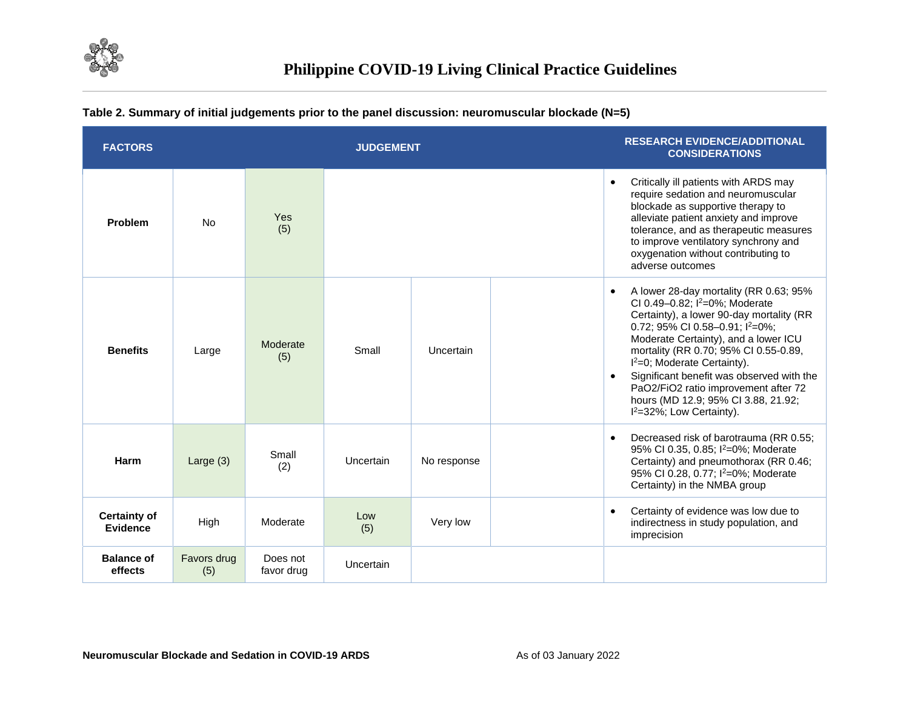

| <b>FACTORS</b>                  |                    |                        | <b>JUDGEMENT</b> |             | <b>RESEARCH EVIDENCE/ADDITIONAL</b><br><b>CONSIDERATIONS</b>                                                                                                                                                                                                                                                                                                                                                                                                                        |
|---------------------------------|--------------------|------------------------|------------------|-------------|-------------------------------------------------------------------------------------------------------------------------------------------------------------------------------------------------------------------------------------------------------------------------------------------------------------------------------------------------------------------------------------------------------------------------------------------------------------------------------------|
| Problem                         | <b>No</b>          | Yes<br>(5)             |                  |             | Critically ill patients with ARDS may<br>$\bullet$<br>require sedation and neuromuscular<br>blockade as supportive therapy to<br>alleviate patient anxiety and improve<br>tolerance, and as therapeutic measures<br>to improve ventilatory synchrony and<br>oxygenation without contributing to<br>adverse outcomes                                                                                                                                                                 |
| <b>Benefits</b>                 | Large              | Moderate<br>(5)        | Small            | Uncertain   | A lower 28-day mortality (RR 0.63; 95%<br>$\bullet$<br>CI 0.49-0.82; l <sup>2</sup> =0%; Moderate<br>Certainty), a lower 90-day mortality (RR<br>0.72; 95% CI 0.58-0.91; l <sup>2</sup> =0%;<br>Moderate Certainty), and a lower ICU<br>mortality (RR 0.70; 95% CI 0.55-0.89,<br>$I^2=0$ ; Moderate Certainty).<br>Significant benefit was observed with the<br>PaO2/FiO2 ratio improvement after 72<br>hours (MD 12.9; 95% CI 3.88, 21.92;<br>l <sup>2</sup> =32%; Low Certainty). |
| Harm                            | Large $(3)$        | Small<br>(2)           | Uncertain        | No response | Decreased risk of barotrauma (RR 0.55;<br>$\bullet$<br>95% CI 0.35, 0.85; l <sup>2</sup> =0%; Moderate<br>Certainty) and pneumothorax (RR 0.46;<br>95% CI 0.28, 0.77; I <sup>2</sup> =0%; Moderate<br>Certainty) in the NMBA group                                                                                                                                                                                                                                                  |
| <b>Certainty of</b><br>Evidence | High               | Moderate               | Low<br>(5)       | Very low    | Certainty of evidence was low due to<br>$\bullet$<br>indirectness in study population, and<br>imprecision                                                                                                                                                                                                                                                                                                                                                                           |
| <b>Balance of</b><br>effects    | Favors drug<br>(5) | Does not<br>favor drug | Uncertain        |             |                                                                                                                                                                                                                                                                                                                                                                                                                                                                                     |

#### **Table 2. Summary of initial judgements prior to the panel discussion: neuromuscular blockade (N=5)**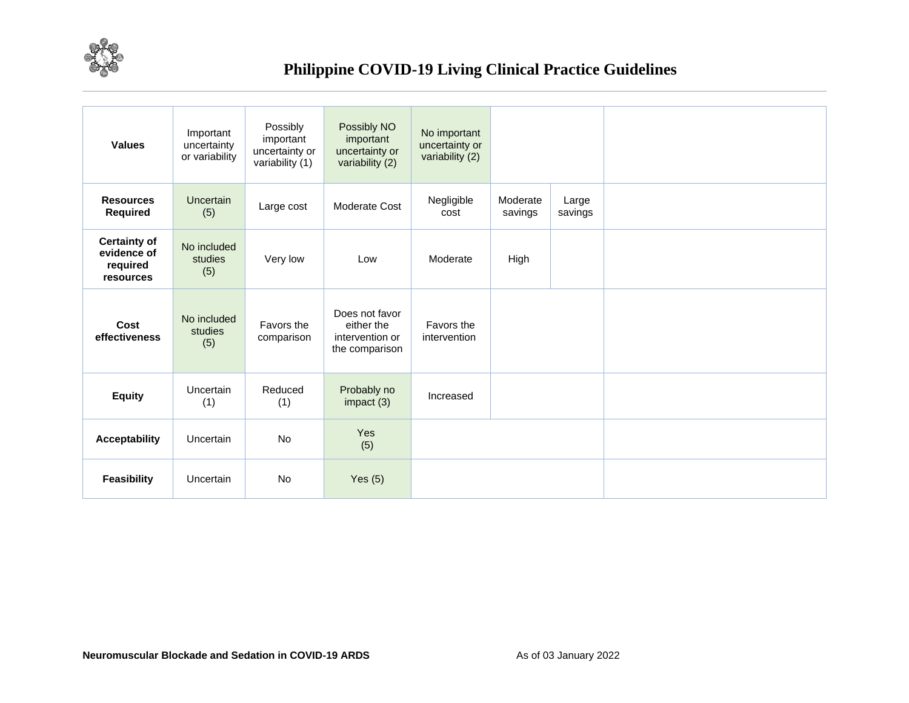

| <b>Values</b>                                               | Important<br>uncertainty<br>or variability | Possibly<br>important<br>uncertainty or<br>variability (1) | Possibly NO<br>important<br>uncertainty or<br>variability (2)     | No important<br>uncertainty or<br>variability (2) |                     |                  |  |  |
|-------------------------------------------------------------|--------------------------------------------|------------------------------------------------------------|-------------------------------------------------------------------|---------------------------------------------------|---------------------|------------------|--|--|
| <b>Resources</b><br>Required                                | <b>Uncertain</b><br>(5)                    | Large cost                                                 | Moderate Cost                                                     | Negligible<br>cost                                | Moderate<br>savings | Large<br>savings |  |  |
| <b>Certainty of</b><br>evidence of<br>required<br>resources | No included<br>studies<br>(5)              | Very low                                                   | Low                                                               | Moderate                                          | High                |                  |  |  |
| Cost<br>effectiveness                                       | No included<br>studies<br>(5)              | Favors the<br>comparison                                   | Does not favor<br>either the<br>intervention or<br>the comparison | Favors the<br>intervention                        |                     |                  |  |  |
| <b>Equity</b>                                               | Uncertain<br>(1)                           | Reduced<br>(1)                                             | Probably no<br>impact $(3)$                                       | Increased                                         |                     |                  |  |  |
| <b>Acceptability</b>                                        | Uncertain                                  | <b>No</b>                                                  | Yes<br>(5)                                                        |                                                   |                     |                  |  |  |
| <b>Feasibility</b>                                          | Uncertain                                  | No                                                         | Yes $(5)$                                                         |                                                   |                     |                  |  |  |
|                                                             |                                            |                                                            |                                                                   |                                                   |                     |                  |  |  |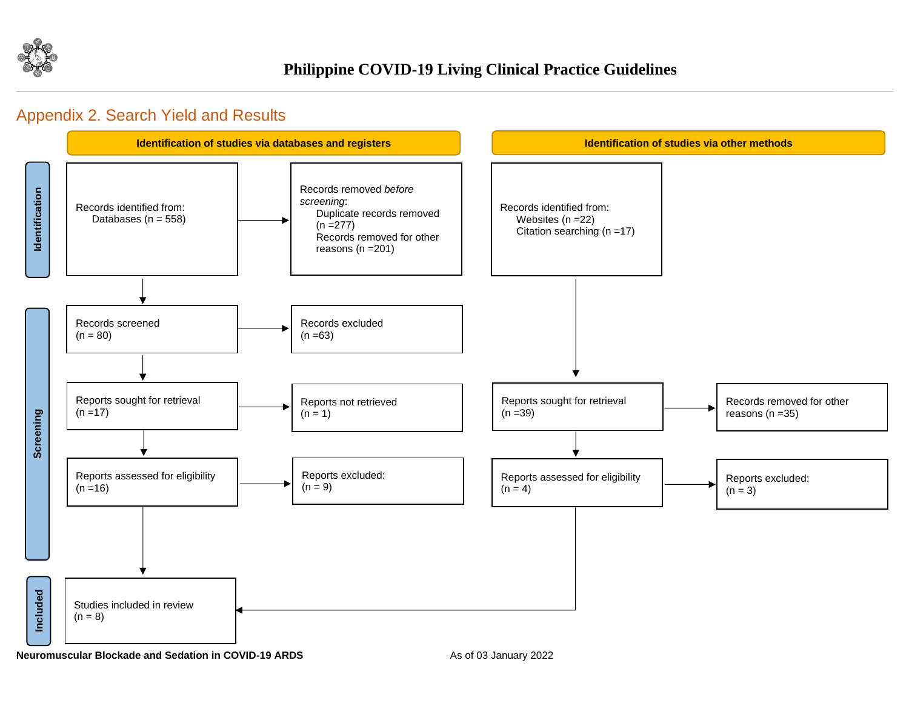

## Appendix 2. Search Yield and Results



**Neuromuscular Blockade and Sedation in COVID-19 ARDS** As of 03 January 2022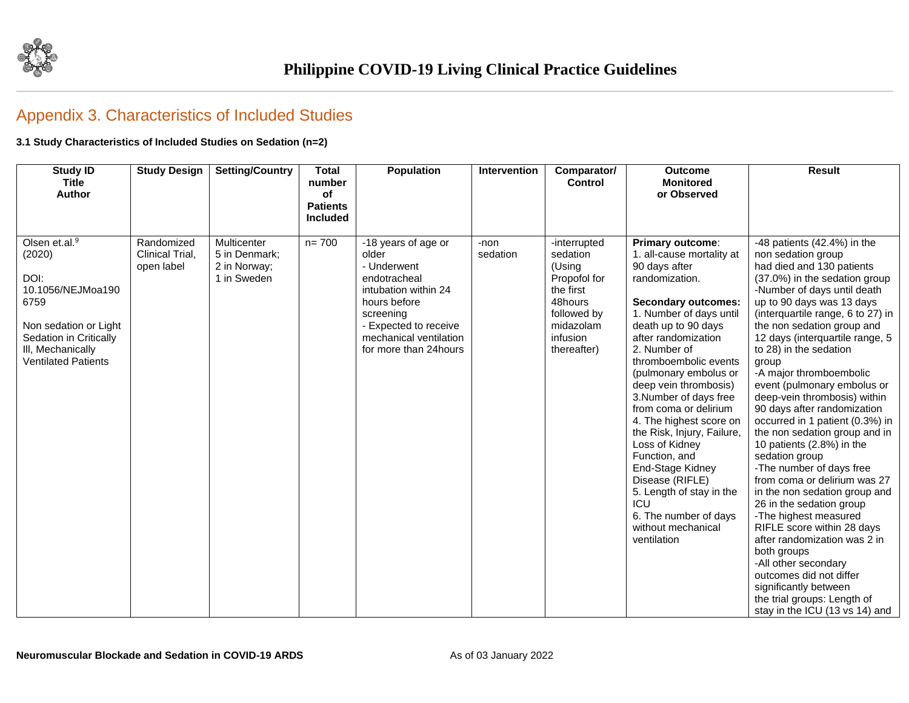

# Appendix 3. Characteristics of Included Studies

#### **3.1 Study Characteristics of Included Studies on Sedation (n=2)**

| <b>Study ID</b><br><b>Title</b><br><b>Author</b>                                                                                                                                  | <b>Study Design</b>                         | <b>Setting/Country</b>                                      | <b>Total</b><br>number<br>of<br><b>Patients</b><br><b>Included</b> | <b>Population</b>                                                                                                                                                                             | Intervention     | Comparator/<br><b>Control</b>                                                                                                     | <b>Outcome</b><br><b>Monitored</b><br>or Observed                                                                                                                                                                                                                                                                                                                                                                                                                                                                                                                        | <b>Result</b>                                                                                                                                                                                                                                                                                                                                                                                                                                                                                                                                                                                                                                                                                                                                                                                                                                                                                                                                  |
|-----------------------------------------------------------------------------------------------------------------------------------------------------------------------------------|---------------------------------------------|-------------------------------------------------------------|--------------------------------------------------------------------|-----------------------------------------------------------------------------------------------------------------------------------------------------------------------------------------------|------------------|-----------------------------------------------------------------------------------------------------------------------------------|--------------------------------------------------------------------------------------------------------------------------------------------------------------------------------------------------------------------------------------------------------------------------------------------------------------------------------------------------------------------------------------------------------------------------------------------------------------------------------------------------------------------------------------------------------------------------|------------------------------------------------------------------------------------------------------------------------------------------------------------------------------------------------------------------------------------------------------------------------------------------------------------------------------------------------------------------------------------------------------------------------------------------------------------------------------------------------------------------------------------------------------------------------------------------------------------------------------------------------------------------------------------------------------------------------------------------------------------------------------------------------------------------------------------------------------------------------------------------------------------------------------------------------|
|                                                                                                                                                                                   |                                             |                                                             |                                                                    |                                                                                                                                                                                               |                  |                                                                                                                                   |                                                                                                                                                                                                                                                                                                                                                                                                                                                                                                                                                                          |                                                                                                                                                                                                                                                                                                                                                                                                                                                                                                                                                                                                                                                                                                                                                                                                                                                                                                                                                |
| Olsen et. $\overline{al.^9}$<br>(2020)<br>DOI:<br>10.1056/NEJMoa190<br>6759<br>Non sedation or Light<br>Sedation in Critically<br>III, Mechanically<br><b>Ventilated Patients</b> | Randomized<br>Clinical Trial,<br>open label | Multicenter<br>5 in Denmark;<br>2 in Norway;<br>1 in Sweden | $n = 700$                                                          | -18 years of age or<br>older<br>- Underwent<br>endotracheal<br>intubation within 24<br>hours before<br>screening<br>- Expected to receive<br>mechanical ventilation<br>for more than 24 hours | -non<br>sedation | -interrupted<br>sedation<br>(Using<br>Propofol for<br>the first<br>48hours<br>followed by<br>midazolam<br>infusion<br>thereafter) | Primary outcome:<br>1. all-cause mortality at<br>90 days after<br>randomization.<br><b>Secondary outcomes:</b><br>1. Number of days until<br>death up to 90 days<br>after randomization<br>2. Number of<br>thromboembolic events<br>(pulmonary embolus or<br>deep vein thrombosis)<br>3.Number of days free<br>from coma or delirium<br>4. The highest score on<br>the Risk, Injury, Failure,<br>Loss of Kidney<br>Function, and<br>End-Stage Kidney<br>Disease (RIFLE)<br>5. Length of stay in the<br>ICU<br>6. The number of days<br>without mechanical<br>ventilation | -48 patients $(42.4%)$ in the<br>non sedation group<br>had died and 130 patients<br>(37.0%) in the sedation group<br>-Number of days until death<br>up to 90 days was 13 days<br>(interquartile range, 6 to 27) in<br>the non sedation group and<br>12 days (interquartile range, 5<br>to 28) in the sedation<br>group<br>-A major thromboembolic<br>event (pulmonary embolus or<br>deep-vein thrombosis) within<br>90 days after randomization<br>occurred in 1 patient (0.3%) in<br>the non sedation group and in<br>10 patients (2.8%) in the<br>sedation group<br>-The number of days free<br>from coma or delirium was 27<br>in the non sedation group and<br>26 in the sedation group<br>-The highest measured<br>RIFLE score within 28 days<br>after randomization was 2 in<br>both groups<br>-All other secondary<br>outcomes did not differ<br>significantly between<br>the trial groups: Length of<br>stay in the ICU (13 vs 14) and |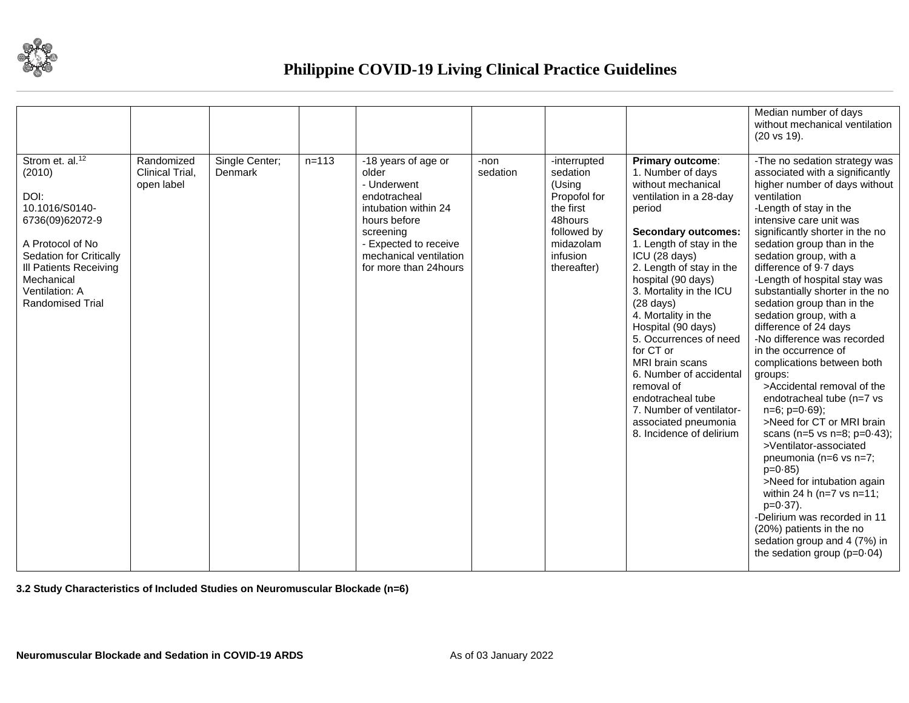

|                                                                                                                                                                                                                        |                                             |                           |           |                                                                                                                                                                                               |                  |                                                                                                                                   |                                                                                                                                                                                                                                                                                                                                                                                                                                                                                                                                      | Median number of days<br>without mechanical ventilation<br>$(20 \text{ vs } 19).$                                                                                                                                                                                                                                                                                                                                                                                                                                                                                                                                                                                                                                                                                                                                                                                                                                                                                            |
|------------------------------------------------------------------------------------------------------------------------------------------------------------------------------------------------------------------------|---------------------------------------------|---------------------------|-----------|-----------------------------------------------------------------------------------------------------------------------------------------------------------------------------------------------|------------------|-----------------------------------------------------------------------------------------------------------------------------------|--------------------------------------------------------------------------------------------------------------------------------------------------------------------------------------------------------------------------------------------------------------------------------------------------------------------------------------------------------------------------------------------------------------------------------------------------------------------------------------------------------------------------------------|------------------------------------------------------------------------------------------------------------------------------------------------------------------------------------------------------------------------------------------------------------------------------------------------------------------------------------------------------------------------------------------------------------------------------------------------------------------------------------------------------------------------------------------------------------------------------------------------------------------------------------------------------------------------------------------------------------------------------------------------------------------------------------------------------------------------------------------------------------------------------------------------------------------------------------------------------------------------------|
| Strom et. al. <sup>12</sup><br>(2010)<br>DOI:<br>10.1016/S0140-<br>6736(09)62072-9<br>A Protocol of No<br>Sedation for Critically<br><b>III Patients Receiving</b><br>Mechanical<br>Ventilation: A<br>Randomised Trial | Randomized<br>Clinical Trial,<br>open label | Single Center;<br>Denmark | $n = 113$ | -18 years of age or<br>older<br>- Underwent<br>endotracheal<br>intubation within 24<br>hours before<br>screening<br>- Expected to receive<br>mechanical ventilation<br>for more than 24 hours | -non<br>sedation | -interrupted<br>sedation<br>(Using<br>Propofol for<br>the first<br>48hours<br>followed by<br>midazolam<br>infusion<br>thereafter) | Primary outcome:<br>1. Number of days<br>without mechanical<br>ventilation in a 28-day<br>period<br><b>Secondary outcomes:</b><br>1. Length of stay in the<br>ICU (28 days)<br>2. Length of stay in the<br>hospital (90 days)<br>3. Mortality in the ICU<br>$(28 \text{ days})$<br>4. Mortality in the<br>Hospital (90 days)<br>5. Occurrences of need<br>for CT or<br>MRI brain scans<br>6. Number of accidental<br>removal of<br>endotracheal tube<br>7. Number of ventilator-<br>associated pneumonia<br>8. Incidence of delirium | -The no sedation strategy was<br>associated with a significantly<br>higher number of days without<br>ventilation<br>-Length of stay in the<br>intensive care unit was<br>significantly shorter in the no<br>sedation group than in the<br>sedation group, with a<br>difference of 9-7 days<br>-Length of hospital stay was<br>substantially shorter in the no<br>sedation group than in the<br>sedation group, with a<br>difference of 24 days<br>-No difference was recorded<br>in the occurrence of<br>complications between both<br>groups:<br>>Accidental removal of the<br>endotracheal tube (n=7 vs<br>$n=6$ ; $p=0.69$ );<br>>Need for CT or MRI brain<br>scans (n=5 vs n=8; $p=0.43$ );<br>>Ventilator-associated<br>pneumonia (n=6 vs n=7;<br>$p=0.85$<br>>Need for intubation again<br>within 24 h ( $n=7$ vs $n=11$ ;<br>$p=0.37$ ).<br>-Delirium was recorded in 11<br>(20%) patients in the no<br>sedation group and 4 (7%) in<br>the sedation group $(p=0.04)$ |

**3.2 Study Characteristics of Included Studies on Neuromuscular Blockade (n=6)**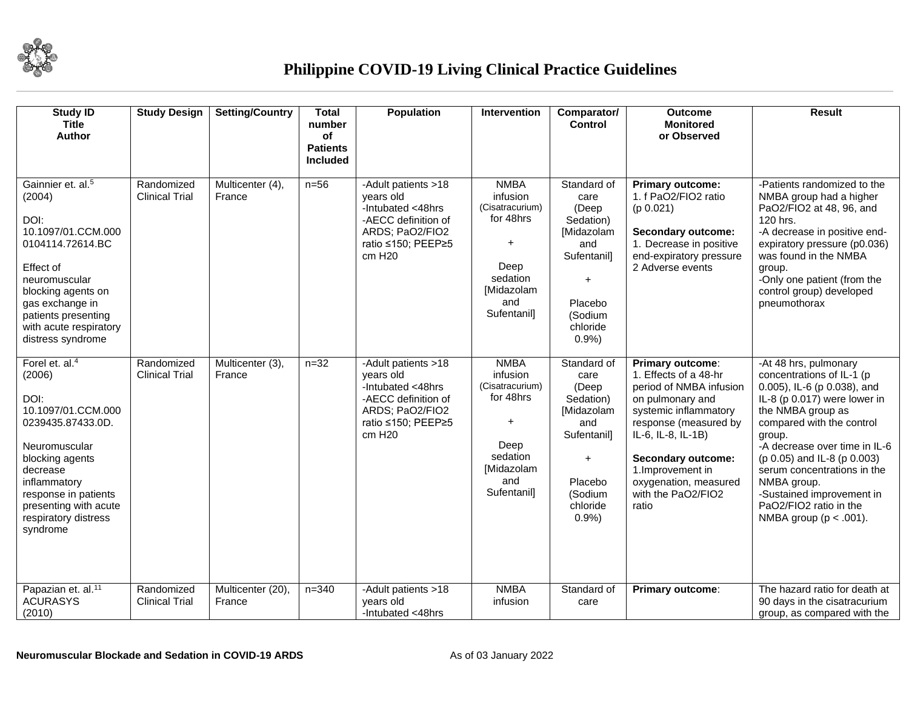

| <b>Study ID</b><br><b>Title</b><br>Author                                                                                                                                                                                              | <b>Study Design</b>                 | <b>Setting/Country</b>     | <b>Total</b><br>number<br>of<br><b>Patients</b><br><b>Included</b> | Population                                                                                                                                  | <b>Intervention</b>                                                                                                          | Comparator/<br><b>Control</b>                                                                                                  | <b>Outcome</b><br><b>Monitored</b><br>or Observed                                                                                                                                                                                                                          | <b>Result</b>                                                                                                                                                                                                                                                                                                                                                                    |
|----------------------------------------------------------------------------------------------------------------------------------------------------------------------------------------------------------------------------------------|-------------------------------------|----------------------------|--------------------------------------------------------------------|---------------------------------------------------------------------------------------------------------------------------------------------|------------------------------------------------------------------------------------------------------------------------------|--------------------------------------------------------------------------------------------------------------------------------|----------------------------------------------------------------------------------------------------------------------------------------------------------------------------------------------------------------------------------------------------------------------------|----------------------------------------------------------------------------------------------------------------------------------------------------------------------------------------------------------------------------------------------------------------------------------------------------------------------------------------------------------------------------------|
| Gainnier et. al. <sup>5</sup><br>(2004)<br>DOI:<br>10.1097/01.CCM.000<br>0104114.72614.BC<br>Effect of<br>neuromuscular<br>blocking agents on<br>gas exchange in<br>patients presenting<br>with acute respiratory<br>distress syndrome | Randomized<br><b>Clinical Trial</b> | Multicenter (4),<br>France | $n=56$                                                             | -Adult patients >18<br>years old<br>-Intubated <48hrs<br>-AECC definition of<br>ARDS; PaO2/FIO2<br>ratio ≤150; PEEP≥5<br>cm H <sub>20</sub> | <b>NMBA</b><br>infusion<br>(Cisatracurium)<br>for 48hrs<br>$\ddot{}$<br>Deep<br>sedation<br>[Midazolam<br>and<br>Sufentanil] | Standard of<br>care<br>(Deep<br>Sedation)<br>[Midazolam<br>and<br>Sufentanil]<br>$+$<br>Placebo<br>(Sodium<br>chloride<br>0.9% | <b>Primary outcome:</b><br>1. f PaO2/FIO2 ratio<br>(p 0.021)<br><b>Secondary outcome:</b><br>1. Decrease in positive<br>end-expiratory pressure<br>2 Adverse events                                                                                                        | -Patients randomized to the<br>NMBA group had a higher<br>PaO2/FIO2 at 48, 96, and<br>120 hrs.<br>-A decrease in positive end-<br>expiratory pressure (p0.036)<br>was found in the NMBA<br>group.<br>-Only one patient (from the<br>control group) developed<br>pneumothorax                                                                                                     |
| Forel et. $aI4$<br>(2006)<br>DOI:<br>10.1097/01.CCM.000<br>0239435.87433.0D.<br>Neuromuscular<br>blocking agents<br>decrease<br>inflammatory<br>response in patients<br>presenting with acute<br>respiratory distress<br>syndrome      | Randomized<br><b>Clinical Trial</b> | Multicenter (3),<br>France | $n = 32$                                                           | -Adult patients >18<br>years old<br>-Intubated <48hrs<br>-AECC definition of<br>ARDS; PaO2/FIO2<br>ratio ≤150; PEEP≥5<br>cm H <sub>20</sub> | <b>NMBA</b><br>infusion<br>(Cisatracurium)<br>for 48hrs<br>Deep<br>sedation<br>[Midazolam<br>and<br>Sufentanil]              | Standard of<br>care<br>(Deep<br>Sedation)<br>[Midazolam<br>and<br>Sufentanil]<br>$+$<br>Placebo<br>(Sodium<br>chloride<br>0.9% | Primary outcome:<br>1. Effects of a 48-hr<br>period of NMBA infusion<br>on pulmonary and<br>systemic inflammatory<br>response (measured by<br>IL-6, IL-8, IL-1B)<br><b>Secondary outcome:</b><br>1. Improvement in<br>oxygenation, measured<br>with the PaO2/FIO2<br>ratio | -At 48 hrs, pulmonary<br>concentrations of IL-1 (p<br>0.005), IL-6 (p 0.038), and<br>IL-8 (p 0.017) were lower in<br>the NMBA group as<br>compared with the control<br>group.<br>-A decrease over time in IL-6<br>(p 0.05) and IL-8 (p 0.003)<br>serum concentrations in the<br>NMBA group.<br>-Sustained improvement in<br>PaO2/FIO2 ratio in the<br>NMBA group ( $p < .001$ ). |
| Papazian et. al. <sup>11</sup><br><b>ACURASYS</b><br>(2010)                                                                                                                                                                            | Randomized<br><b>Clinical Trial</b> | Multicenter (20)<br>France | $n = 340$                                                          | -Adult patients >18<br>years old<br>-Intubated <48hrs                                                                                       | <b>NMBA</b><br>infusion                                                                                                      | Standard of<br>care                                                                                                            | Primary outcome:                                                                                                                                                                                                                                                           | The hazard ratio for death at<br>90 days in the cisatracurium<br>group, as compared with the                                                                                                                                                                                                                                                                                     |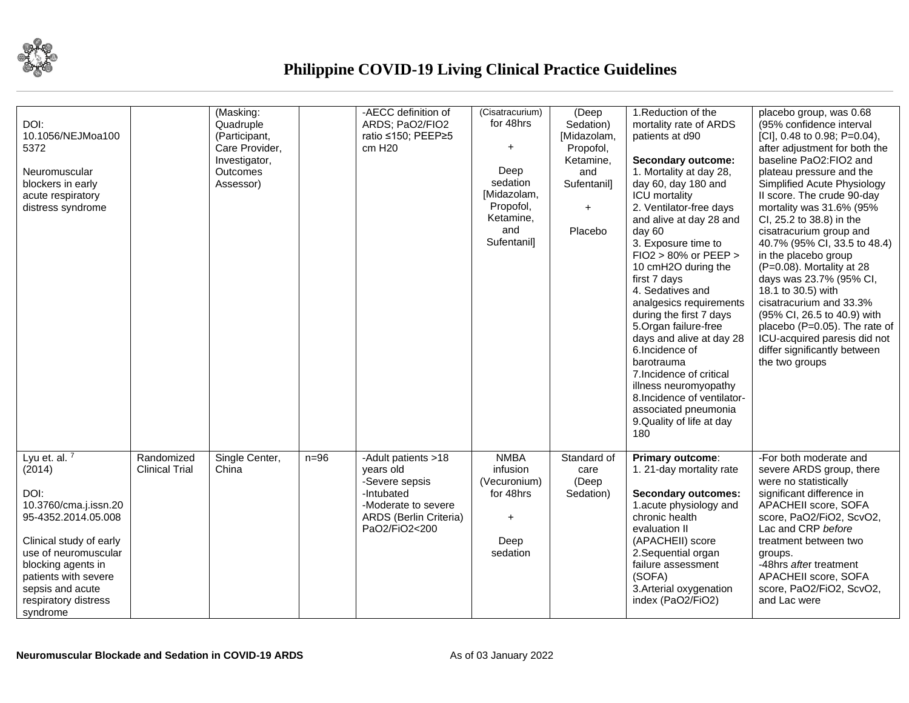

| DOI:<br>10.1056/NEJMoa100<br>5372<br>Neuromuscular<br>blockers in early<br>acute respiratory<br>distress syndrome                                                                                                                          |                                     | (Masking:<br>Quadruple<br>(Participant,<br>Care Provider,<br>Investigator,<br><b>Outcomes</b><br>Assessor) |        | -AECC definition of<br>ARDS; PaO2/FIO2<br>ratio ≤150; PEEP≥5<br>cm H <sub>20</sub>                                                 | (Cisatracurium)<br>for 48hrs<br>$\ddot{}$<br>Deep<br>sedation<br>[Midazolam,<br>Propofol,<br>Ketamine,<br>and<br>Sufentanil] | (Deep<br>Sedation)<br>[Midazolam,<br>Propofol,<br>Ketamine,<br>and<br>Sufentanil]<br>$\ddot{}$<br>Placebo | 1. Reduction of the<br>mortality rate of ARDS<br>patients at d90<br><b>Secondary outcome:</b><br>1. Mortality at day 28,<br>day 60, day 180 and<br><b>ICU</b> mortality<br>2. Ventilator-free days<br>and alive at day 28 and<br>day 60<br>3. Exposure time to<br>FIO2 > 80% or PEEP ><br>10 cmH2O during the<br>first 7 days<br>4. Sedatives and<br>analgesics requirements<br>during the first 7 days<br>5.Organ failure-free<br>days and alive at day 28<br>6.Incidence of<br>barotrauma<br>7. Incidence of critical<br>illness neuromyopathy<br>8. Incidence of ventilator-<br>associated pneumonia<br>9. Quality of life at day<br>180 | placebo group, was 0.68<br>(95% confidence interval<br>[CI], 0.48 to 0.98; P=0.04),<br>after adjustment for both the<br>baseline PaO2:FIO2 and<br>plateau pressure and the<br>Simplified Acute Physiology<br>Il score. The crude 90-day<br>mortality was 31.6% (95%<br>Cl, 25.2 to 38.8) in the<br>cisatracurium group and<br>40.7% (95% CI, 33.5 to 48.4)<br>in the placebo group<br>$(P=0.08)$ . Mortality at 28<br>days was 23.7% (95% CI,<br>18.1 to 30.5) with<br>cisatracurium and 33.3%<br>(95% Cl, 26.5 to 40.9) with<br>placebo (P=0.05). The rate of<br>ICU-acquired paresis did not<br>differ significantly between<br>the two groups |
|--------------------------------------------------------------------------------------------------------------------------------------------------------------------------------------------------------------------------------------------|-------------------------------------|------------------------------------------------------------------------------------------------------------|--------|------------------------------------------------------------------------------------------------------------------------------------|------------------------------------------------------------------------------------------------------------------------------|-----------------------------------------------------------------------------------------------------------|---------------------------------------------------------------------------------------------------------------------------------------------------------------------------------------------------------------------------------------------------------------------------------------------------------------------------------------------------------------------------------------------------------------------------------------------------------------------------------------------------------------------------------------------------------------------------------------------------------------------------------------------|--------------------------------------------------------------------------------------------------------------------------------------------------------------------------------------------------------------------------------------------------------------------------------------------------------------------------------------------------------------------------------------------------------------------------------------------------------------------------------------------------------------------------------------------------------------------------------------------------------------------------------------------------|
| Lyu et. al. $7$<br>(2014)<br>DOI:<br>10.3760/cma.j.issn.20<br>95-4352.2014.05.008<br>Clinical study of early<br>use of neuromuscular<br>blocking agents in<br>patients with severe<br>sepsis and acute<br>respiratory distress<br>syndrome | Randomized<br><b>Clinical Trial</b> | Single Center,<br>China                                                                                    | $n=96$ | -Adult patients >18<br>years old<br>-Severe sepsis<br>-Intubated<br>-Moderate to severe<br>ARDS (Berlin Criteria)<br>PaO2/FiO2<200 | <b>NMBA</b><br>infusion<br>(Vecuronium)<br>for 48hrs<br>Deep<br>sedation                                                     | Standard of<br>care<br>(Deep<br>Sedation)                                                                 | Primary outcome:<br>1. 21-day mortality rate<br><b>Secondary outcomes:</b><br>1.acute physiology and<br>chronic health<br>evaluation II<br>(APACHEII) score<br>2. Sequential organ<br>failure assessment<br>(SOFA)<br>3. Arterial oxygenation<br>index (PaO2/FiO2)                                                                                                                                                                                                                                                                                                                                                                          | -For both moderate and<br>severe ARDS group, there<br>were no statistically<br>significant difference in<br>APACHEII score, SOFA<br>score, PaO2/FiO2, ScvO2,<br>Lac and CRP before<br>treatment between two<br>groups.<br>-48hrs after treatment<br>APACHEII score, SOFA<br>score, PaO2/FiO2, ScvO2,<br>and Lac were                                                                                                                                                                                                                                                                                                                             |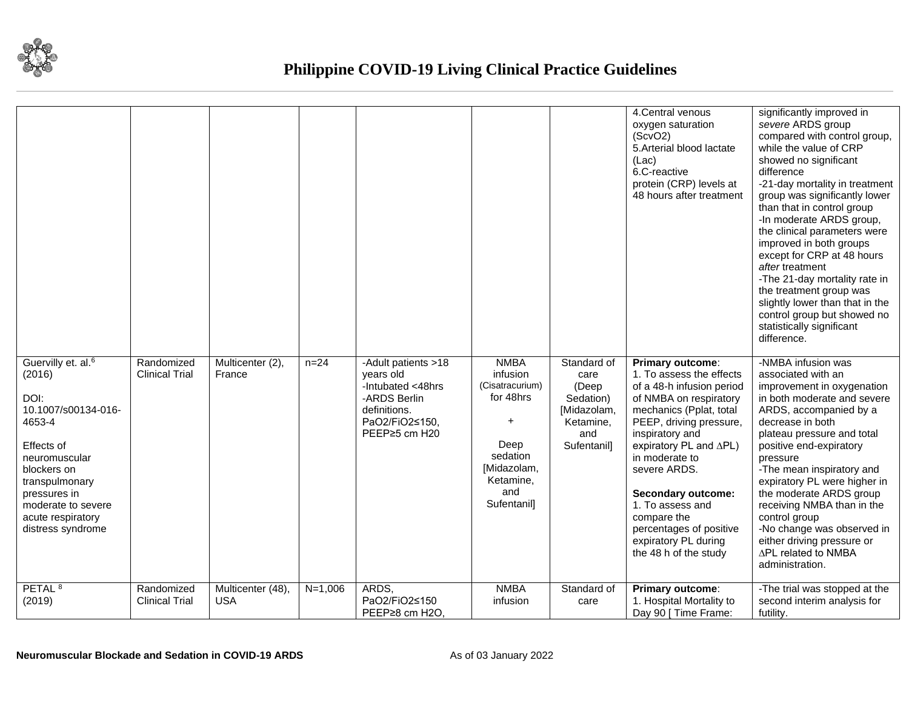

|                                                                                                                                                                                                                                   |                                     |                                 |           |                                                                                                                          |                                                                                                                               |                                                                                             | 4. Central venous<br>oxygen saturation<br>(ScvO2)<br>5. Arterial blood lactate<br>(Lac)<br>6.C-reactive<br>protein (CRP) levels at<br>48 hours after treatment                                                                                                                                                                                                                | significantly improved in<br>severe ARDS group<br>compared with control group,<br>while the value of CRP<br>showed no significant<br>difference<br>-21-day mortality in treatment<br>group was significantly lower<br>than that in control group<br>-In moderate ARDS group,<br>the clinical parameters were<br>improved in both groups<br>except for CRP at 48 hours<br>after treatment<br>-The 21-day mortality rate in<br>the treatment group was<br>slightly lower than that in the<br>control group but showed no<br>statistically significant<br>difference. |
|-----------------------------------------------------------------------------------------------------------------------------------------------------------------------------------------------------------------------------------|-------------------------------------|---------------------------------|-----------|--------------------------------------------------------------------------------------------------------------------------|-------------------------------------------------------------------------------------------------------------------------------|---------------------------------------------------------------------------------------------|-------------------------------------------------------------------------------------------------------------------------------------------------------------------------------------------------------------------------------------------------------------------------------------------------------------------------------------------------------------------------------|--------------------------------------------------------------------------------------------------------------------------------------------------------------------------------------------------------------------------------------------------------------------------------------------------------------------------------------------------------------------------------------------------------------------------------------------------------------------------------------------------------------------------------------------------------------------|
| Guervilly et. al. <sup>6</sup><br>(2016)<br>DOI:<br>10.1007/s00134-016-<br>4653-4<br>Effects of<br>neuromuscular<br>blockers on<br>transpulmonary<br>pressures in<br>moderate to severe<br>acute respiratory<br>distress syndrome | Randomized<br><b>Clinical Trial</b> | Multicenter (2),<br>France      | $n = 24$  | -Adult patients >18<br>years old<br>-Intubated <48hrs<br>-ARDS Berlin<br>definitions.<br>PaO2/FiO2≤150,<br>PEEP≥5 cm H20 | <b>NMBA</b><br>infusion<br>(Cisatracurium)<br>for 48hrs<br>Deep<br>sedation<br>[Midazolam,<br>Ketamine,<br>and<br>Sufentanil] | Standard of<br>care<br>(Deep<br>Sedation)<br>[Midazolam,<br>Ketamine,<br>and<br>Sufentanil] | Primary outcome:<br>1. To assess the effects<br>of a 48-h infusion period<br>of NMBA on respiratory<br>mechanics (Pplat, total<br>PEEP, driving pressure,<br>inspiratory and<br>expiratory PL and ∆PL)<br>in moderate to<br>severe ARDS.<br>Secondary outcome:<br>1. To assess and<br>compare the<br>percentages of positive<br>expiratory PL during<br>the 48 h of the study | -NMBA infusion was<br>associated with an<br>improvement in oxygenation<br>in both moderate and severe<br>ARDS, accompanied by a<br>decrease in both<br>plateau pressure and total<br>positive end-expiratory<br>pressure<br>-The mean inspiratory and<br>expiratory PL were higher in<br>the moderate ARDS group<br>receiving NMBA than in the<br>control group<br>-No change was observed in<br>either driving pressure or<br>∆PL related to NMBA<br>administration.                                                                                              |
| PETAL <sup>8</sup><br>(2019)                                                                                                                                                                                                      | Randomized<br><b>Clinical Trial</b> | Multicenter (48),<br><b>USA</b> | $N=1,006$ | ARDS,<br>PaO2/FiO2≤150<br>PEEP≥8 cm H2O.                                                                                 | <b>NMBA</b><br>infusion                                                                                                       | Standard of<br>care                                                                         | Primary outcome:<br>1. Hospital Mortality to<br>Day 90 [ Time Frame:                                                                                                                                                                                                                                                                                                          | -The trial was stopped at the<br>second interim analysis for<br>futility.                                                                                                                                                                                                                                                                                                                                                                                                                                                                                          |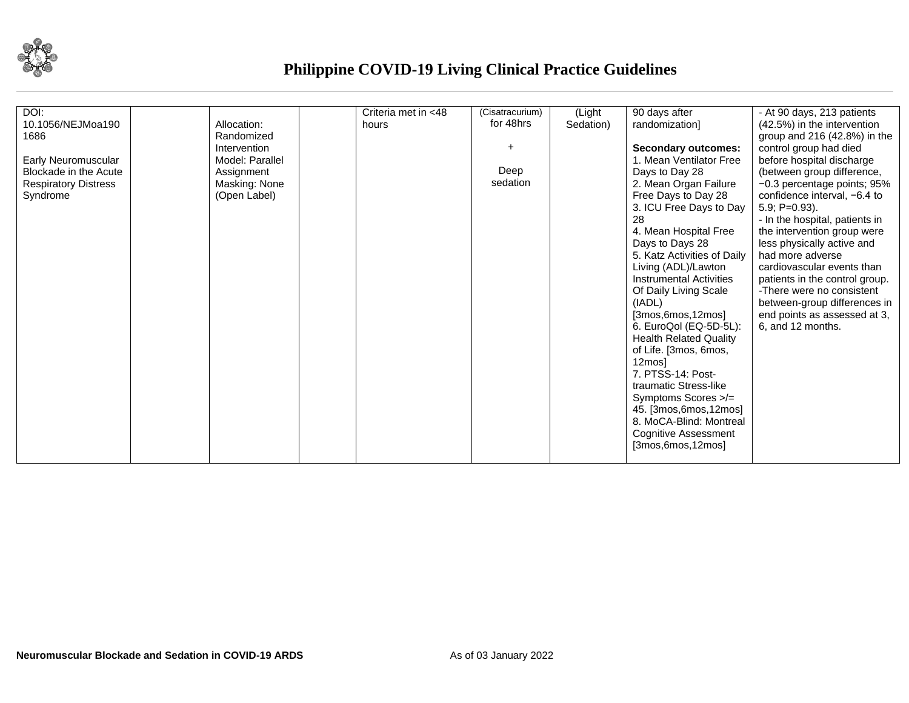

| DOI:                        |                 | Criteria met in <48 | (Cisatracurium) | (Light    | 90 days after                  | - At 90 days, 213 patients     |
|-----------------------------|-----------------|---------------------|-----------------|-----------|--------------------------------|--------------------------------|
| 10.1056/NEJMoa190           | Allocation:     | hours               | for 48hrs       | Sedation) | randomization]                 | (42.5%) in the intervention    |
| 1686                        | Randomized      |                     |                 |           |                                | group and $216(42.8%)$ in the  |
|                             | Intervention    |                     |                 |           | <b>Secondary outcomes:</b>     | control group had died         |
| Early Neuromuscular         | Model: Parallel |                     |                 |           | 1. Mean Ventilator Free        | before hospital discharge      |
| Blockade in the Acute       | Assignment      |                     | Deep            |           | Days to Day 28                 | (between group difference,     |
| <b>Respiratory Distress</b> | Masking: None   |                     | sedation        |           | 2. Mean Organ Failure          | -0.3 percentage points; 95%    |
| Syndrome                    | (Open Label)    |                     |                 |           | Free Days to Day 28            | confidence interval, −6.4 to   |
|                             |                 |                     |                 |           | 3. ICU Free Days to Day        | $5.9; P=0.93$ ).               |
|                             |                 |                     |                 |           | 28                             | - In the hospital, patients in |
|                             |                 |                     |                 |           | 4. Mean Hospital Free          | the intervention group were    |
|                             |                 |                     |                 |           | Days to Days 28                | less physically active and     |
|                             |                 |                     |                 |           | 5. Katz Activities of Daily    | had more adverse               |
|                             |                 |                     |                 |           | Living (ADL)/Lawton            | cardiovascular events than     |
|                             |                 |                     |                 |           | <b>Instrumental Activities</b> | patients in the control group. |
|                             |                 |                     |                 |           | Of Daily Living Scale          | -There were no consistent      |
|                             |                 |                     |                 |           | (IADL)                         | between-group differences in   |
|                             |                 |                     |                 |           | [3mos, 6mos, 12mos]            | end points as assessed at 3,   |
|                             |                 |                     |                 |           | 6. EuroQol (EQ-5D-5L):         | 6, and 12 months.              |
|                             |                 |                     |                 |           | <b>Health Related Quality</b>  |                                |
|                             |                 |                     |                 |           | of Life. [3mos, 6mos,          |                                |
|                             |                 |                     |                 |           | 12mos]                         |                                |
|                             |                 |                     |                 |           | 7. PTSS-14: Post-              |                                |
|                             |                 |                     |                 |           | traumatic Stress-like          |                                |
|                             |                 |                     |                 |           | Symptoms Scores >/=            |                                |
|                             |                 |                     |                 |           | 45. [3mos, 6mos, 12mos]        |                                |
|                             |                 |                     |                 |           | 8. MoCA-Blind: Montreal        |                                |
|                             |                 |                     |                 |           | <b>Cognitive Assessment</b>    |                                |
|                             |                 |                     |                 |           | [3mos,6mos,12mos]              |                                |
|                             |                 |                     |                 |           |                                |                                |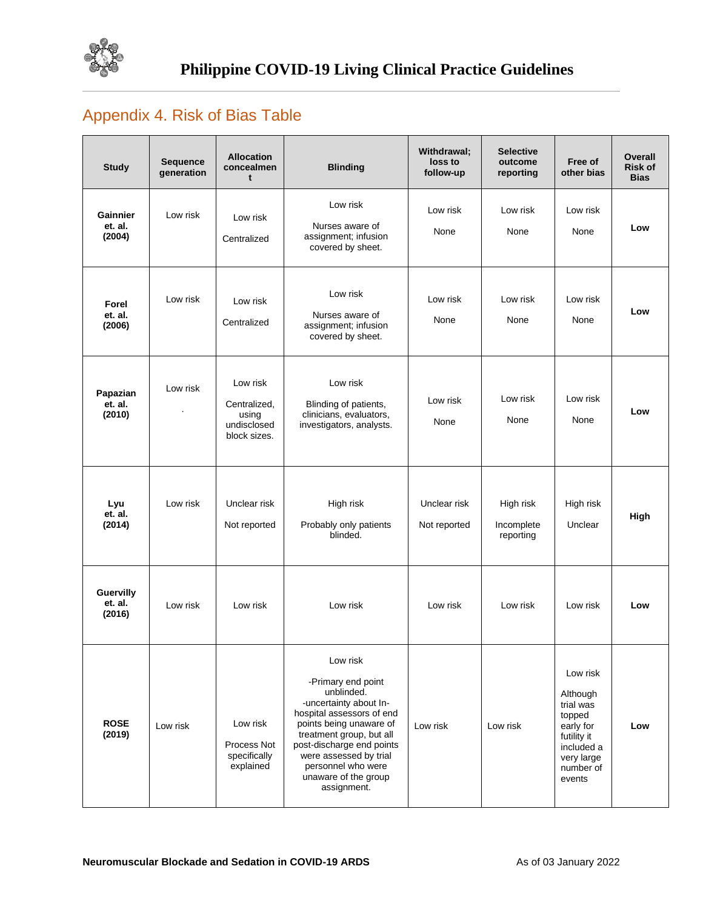

# Appendix 4. Risk of Bias Table

| <b>Study</b>                   | <b>Sequence</b><br>generation | <b>Allocation</b><br>concealmen<br>t                             | <b>Blinding</b>                                                                                                                                                                                                                                                                | Withdrawal;<br>loss to<br>follow-up | <b>Selective</b><br>outcome<br>reporting | Free of<br>other bias                                                                                                      | Overall<br><b>Risk of</b><br><b>Bias</b> |
|--------------------------------|-------------------------------|------------------------------------------------------------------|--------------------------------------------------------------------------------------------------------------------------------------------------------------------------------------------------------------------------------------------------------------------------------|-------------------------------------|------------------------------------------|----------------------------------------------------------------------------------------------------------------------------|------------------------------------------|
| Gainnier<br>et. al.<br>(2004)  | Low risk                      | Low risk<br>Centralized                                          | Low risk<br>Nurses aware of<br>assignment; infusion<br>covered by sheet.                                                                                                                                                                                                       | Low risk<br>None                    | Low risk<br>None                         | Low risk<br>None                                                                                                           | Low                                      |
| Forel<br>et. al.<br>(2006)     | Low risk                      | Low risk<br>Centralized                                          | Low risk<br>Nurses aware of<br>assignment; infusion<br>covered by sheet.                                                                                                                                                                                                       | Low risk<br>None                    | Low risk<br>None                         | Low risk<br>None                                                                                                           | Low                                      |
| Papazian<br>et. al.<br>(2010)  | Low risk                      | Low risk<br>Centralized,<br>using<br>undisclosed<br>block sizes. | Low risk<br>Blinding of patients,<br>clinicians, evaluators,<br>investigators, analysts.                                                                                                                                                                                       | Low risk<br>None                    | Low risk<br>None                         | Low risk<br>None                                                                                                           | Low                                      |
| Lyu<br>et. al.<br>(2014)       | Low risk                      | Unclear risk<br>Not reported                                     | High risk<br>Probably only patients<br>blinded.                                                                                                                                                                                                                                | Unclear risk<br>Not reported        | High risk<br>Incomplete<br>reporting     | High risk<br>Unclear                                                                                                       | High                                     |
| Guervilly<br>et. al.<br>(2016) | Low risk                      | Low risk                                                         | Low risk                                                                                                                                                                                                                                                                       | Low risk                            | Low risk                                 | Low risk                                                                                                                   | Low                                      |
| <b>ROSE</b><br>(2019)          | Low risk                      | Low risk<br>Process Not<br>specifically<br>explained             | Low risk<br>-Primary end point<br>unblinded.<br>-uncertainty about In-<br>hospital assessors of end<br>points being unaware of<br>treatment group, but all<br>post-discharge end points<br>were assessed by trial<br>personnel who were<br>unaware of the group<br>assignment. | Low risk                            | Low risk                                 | Low risk<br>Although<br>trial was<br>topped<br>early for<br>futility it<br>included a<br>very large<br>number of<br>events | Low                                      |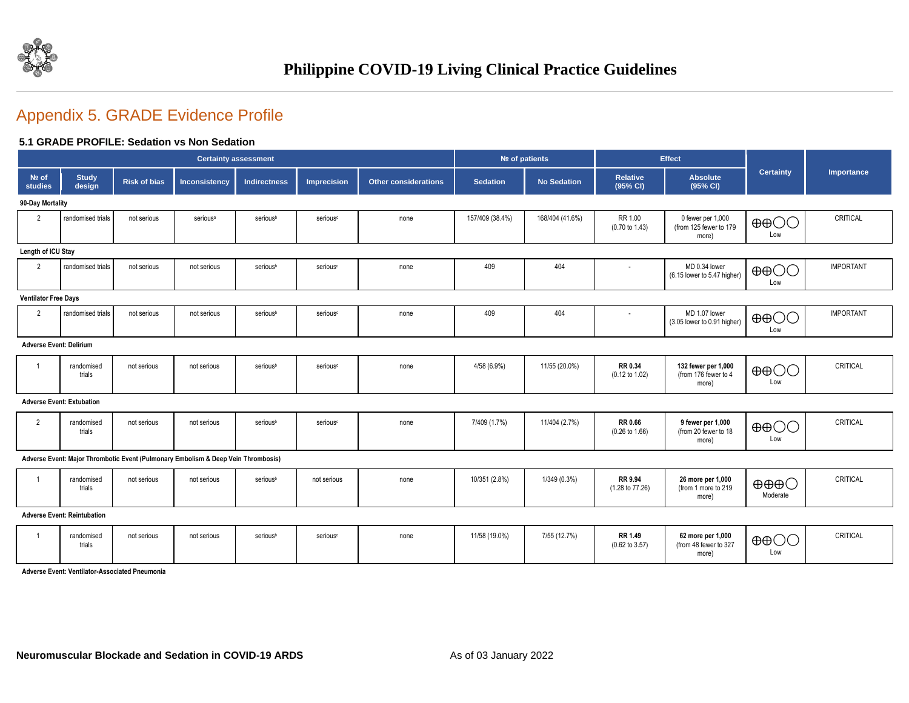

# Appendix 5. GRADE Evidence Profile

#### **5.1 GRADE PROFILE: Sedation vs Non Sedation**

|                                |                                    |                     | <b>Certainty assessment</b>                                                       |                     |                      |                             | Nº of patients  |                    |                                      | Effect                                               |                                             |                  |
|--------------------------------|------------------------------------|---------------------|-----------------------------------------------------------------------------------|---------------------|----------------------|-----------------------------|-----------------|--------------------|--------------------------------------|------------------------------------------------------|---------------------------------------------|------------------|
| $Ne$ of<br>studies             | <b>Study</b><br>design             | <b>Risk of bias</b> | Inconsistency                                                                     | <b>Indirectness</b> | <b>Imprecision</b>   | <b>Other considerations</b> | <b>Sedation</b> | <b>No Sedation</b> | <b>Relative</b><br>(95% CI)          | <b>Absolute</b><br>(95% CI)                          | <b>Certainty</b>                            | Importance       |
| 90-Day Mortality               |                                    |                     |                                                                                   |                     |                      |                             |                 |                    |                                      |                                                      |                                             |                  |
| $\overline{2}$                 | randomised trials                  | not serious         | serious <sup>a</sup>                                                              | seriousb            | serious <sup>c</sup> | none                        | 157/409 (38.4%) | 168/404 (41.6%)    | RR 1.00<br>$(0.70 \text{ to } 1.43)$ | 0 fewer per 1,000<br>(from 125 fewer to 179<br>more) | $\oplus$ $\oplus$<br>Low                    | CRITICAL         |
|                                | Length of ICU Stay                 |                     |                                                                                   |                     |                      |                             |                 |                    |                                      |                                                      |                                             |                  |
| $\overline{2}$                 | randomised trials                  | not serious         | not serious                                                                       | seriousb            | serious <sup>c</sup> | none                        | 409             | 404                | $\sim$                               | MD 0.34 lower<br>(6.15 lower to 5.47 higher)         | $\oplus$ $\oplus$<br>Low                    | <b>IMPORTANT</b> |
| <b>Ventilator Free Days</b>    |                                    |                     |                                                                                   |                     |                      |                             |                 |                    |                                      |                                                      |                                             |                  |
| $\overline{2}$                 | randomised trials                  | not serious         | not serious                                                                       | seriousb            | serious <sup>c</sup> | none                        | 409             | 404                | ٠                                    | MD 1.07 lower<br>(3.05 lower to 0.91 higher)         | $\oplus$ $\oplus$<br>Low                    | <b>IMPORTANT</b> |
| <b>Adverse Event: Delirium</b> |                                    |                     |                                                                                   |                     |                      |                             |                 |                    |                                      |                                                      |                                             |                  |
|                                | randomised<br>trials               | not serious         | not serious                                                                       | seriousb            | serious <sup>c</sup> | none                        | 4/58 (6.9%)     | 11/55 (20.0%)      | RR 0.34<br>$(0.12 \text{ to } 1.02)$ | 132 fewer per 1,000<br>(from 176 fewer to 4<br>more) | $\oplus$ $\oplus$<br>Low                    | CRITICAL         |
|                                | <b>Adverse Event: Extubation</b>   |                     |                                                                                   |                     |                      |                             |                 |                    |                                      |                                                      |                                             |                  |
| $\overline{2}$                 | randomised<br>trials               | not serious         | not serious                                                                       | seriousb            | serious <sup>c</sup> | none                        | 7/409 (1.7%)    | 11/404 (2.7%)      | RR 0.66<br>$(0.26 \text{ to } 1.66)$ | 9 fewer per 1,000<br>(from 20 fewer to 18<br>more)   | $\oplus$ OO<br>Low                          | CRITICAL         |
|                                |                                    |                     | Adverse Event: Major Thrombotic Event (Pulmonary Embolism & Deep Vein Thrombosis) |                     |                      |                             |                 |                    |                                      |                                                      |                                             |                  |
| -1                             | randomised<br>trials               | not serious         | not serious                                                                       | seriousb            | not serious          | none                        | 10/351 (2.8%)   | 1/349 (0.3%)       | RR 9.94<br>(1.28 to 77.26)           | 26 more per 1,000<br>(from 1 more to 219<br>more)    | $\oplus \oplus \oplus \bigcirc$<br>Moderate | CRITICAL         |
|                                | <b>Adverse Event: Reintubation</b> |                     |                                                                                   |                     |                      |                             |                 |                    |                                      |                                                      |                                             |                  |
|                                |                                    |                     |                                                                                   |                     |                      |                             |                 |                    |                                      |                                                      |                                             |                  |

| randomised<br>trials | not serious | not serious | seriousb | serious <sup>c</sup> | none | 11/58 (19.0%) | 7/55 (12.7%) | RR 1.49<br>$(0.62 \text{ to } 3.57)$ | 62 more per 1,000<br>(from 48 fewer to 327<br>more | $\oplus$ $\oplus$<br>Low | CRITICAL |
|----------------------|-------------|-------------|----------|----------------------|------|---------------|--------------|--------------------------------------|----------------------------------------------------|--------------------------|----------|
|                      |             |             |          |                      |      |               |              |                                      |                                                    |                          |          |

**Adverse Event: Ventilator-Associated Pneumonia**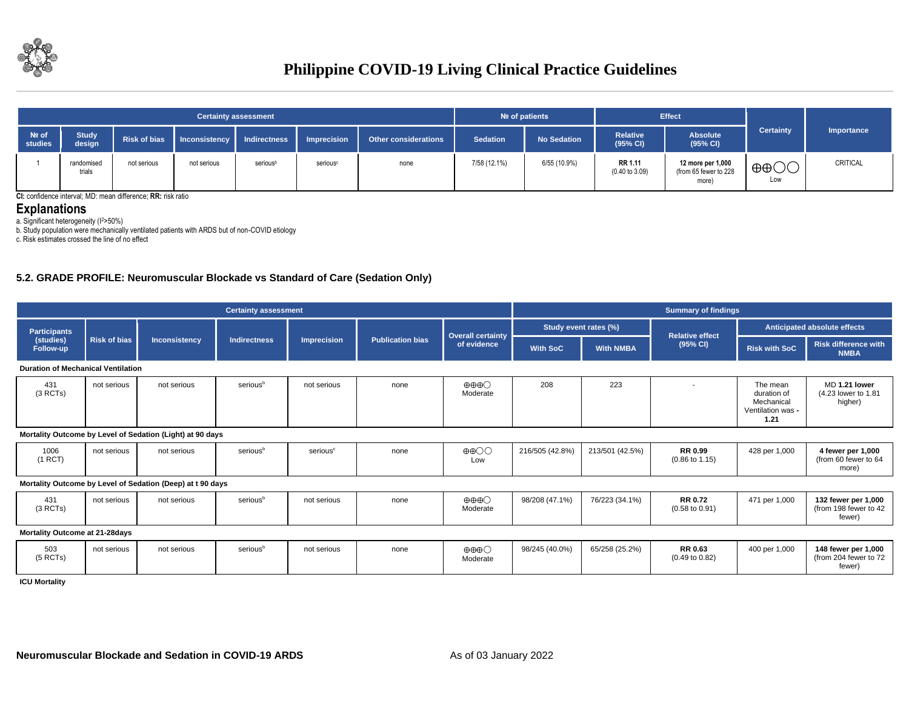

|                  |                        |                     |               | <b>Certainty assessment</b> |                      |                             | $Ne$ of patients |                    |                             | <b>Effect</b>                                       |                          |            |
|------------------|------------------------|---------------------|---------------|-----------------------------|----------------------|-----------------------------|------------------|--------------------|-----------------------------|-----------------------------------------------------|--------------------------|------------|
| Nº of<br>studies | <b>Study</b><br>design | <b>Risk of bias</b> | Inconsistency | <b>Indirectness</b>         | <b>Imprecision</b>   | <b>Other considerations</b> | <b>Sedation</b>  | <b>No Sedation</b> | <b>Relative</b><br>(95% CI) | <b>Absolute</b><br>(95% CI)                         | <b>Certainty</b>         | Importance |
|                  | randomised<br>trials   | not serious         | not serious   | seriousb                    | serious <sup>c</sup> | none                        | 7/58 (12.1%)     | 6/55 (10.9%)       | RR 1.11<br>(0.40 to 3.09)   | 12 more per 1,000<br>(from 65 fewer to 228<br>more) | $\oplus$ $\oplus$<br>Low | CRITICAL   |

**CI:** confidence interval; MD: mean difference; **RR:** risk ratio

#### **Explanations**

a. Significant heterogeneity (I<sup>2</sup>>50%)

b. Study population were mechanically ventilated patients with ARDS but of non-COVID etiology

c. Risk estimates crossed the line of no effect

#### **5.2. GRADE PROFILE: Neuromuscular Blockade vs Standard of Care (Sedation Only)**

|                                           |                     |                                                            | <b>Certainty assessment</b> |                      |                         | <b>Summary of findings</b>                  |                 |                       |                                             |                                                                    |                                                        |
|-------------------------------------------|---------------------|------------------------------------------------------------|-----------------------------|----------------------|-------------------------|---------------------------------------------|-----------------|-----------------------|---------------------------------------------|--------------------------------------------------------------------|--------------------------------------------------------|
| <b>Participants</b>                       |                     |                                                            |                             |                      |                         |                                             |                 | Study event rates (%) | <b>Relative effect</b>                      |                                                                    | Anticipated absolute effects                           |
| (studies)<br>Follow-up                    | <b>Risk of bias</b> | <b>Inconsistency</b>                                       | <b>Indirectness</b>         | Imprecision          | <b>Publication bias</b> | <b>Overall certainty</b><br>of evidence     | <b>With SoC</b> | <b>With NMBA</b>      | (95% CI)                                    | <b>Risk with SoC</b>                                               | <b>Risk difference with</b><br><b>NMBA</b>             |
| <b>Duration of Mechanical Ventilation</b> |                     |                                                            |                             |                      |                         |                                             |                 |                       |                                             |                                                                    |                                                        |
| 431<br>(3 RCTs)                           | not serious         | not serious                                                | serious <sup>b</sup>        | not serious          | none                    | $\oplus \oplus \oplus \bigcirc$<br>Moderate | 208             | 223                   |                                             | The mean<br>duration of<br>Mechanical<br>Ventilation was -<br>1.21 | MD 1.21 lower<br>(4.23 lower to 1.81<br>higher)        |
|                                           |                     | Mortality Outcome by Level of Sedation (Light) at 90 days  |                             |                      |                         |                                             |                 |                       |                                             |                                                                    |                                                        |
| 1006<br>(1 RCT)                           | not serious         | not serious                                                | serious <sup>b</sup>        | serious <sup>c</sup> | none                    | $\oplus$ $\oplus$<br>Low                    | 216/505 (42.8%) | 213/501 (42.5%)       | <b>RR 0.99</b><br>$(0.86 \text{ to } 1.15)$ | 428 per 1,000                                                      | 4 fewer per 1,000<br>(from 60 fewer to 64<br>more)     |
|                                           |                     | Mortality Outcome by Level of Sedation (Deep) at t 90 days |                             |                      |                         |                                             |                 |                       |                                             |                                                                    |                                                        |
| 431<br>(3 RCTs)                           | not serious         | not serious                                                | serious <sup>b</sup>        | not serious          | none                    | $\oplus \oplus \oplus \bigcirc$<br>Moderate | 98/208 (47.1%)  | 76/223 (34.1%)        | <b>RR 0.72</b><br>$(0.58 \text{ to } 0.91)$ | 471 per 1,000                                                      | 132 fewer per 1,000<br>(from 198 fewer to 42<br>fewer) |
| Mortality Outcome at 21-28days            |                     |                                                            |                             |                      |                         |                                             |                 |                       |                                             |                                                                    |                                                        |
| 503<br>$(5$ RCTs)                         | not serious         | not serious                                                | serious <sup>b</sup>        | not serious          | none                    | $\oplus \oplus \oplus \bigcirc$<br>Moderate | 98/245 (40.0%)  | 65/258 (25.2%)        | <b>RR 0.63</b><br>$(0.49 \text{ to } 0.82)$ | 400 per 1,000                                                      | 148 fewer per 1,000<br>(from 204 fewer to 72<br>fewer) |
| <b>ICU Mortality</b>                      |                     |                                                            |                             |                      |                         |                                             |                 |                       |                                             |                                                                    |                                                        |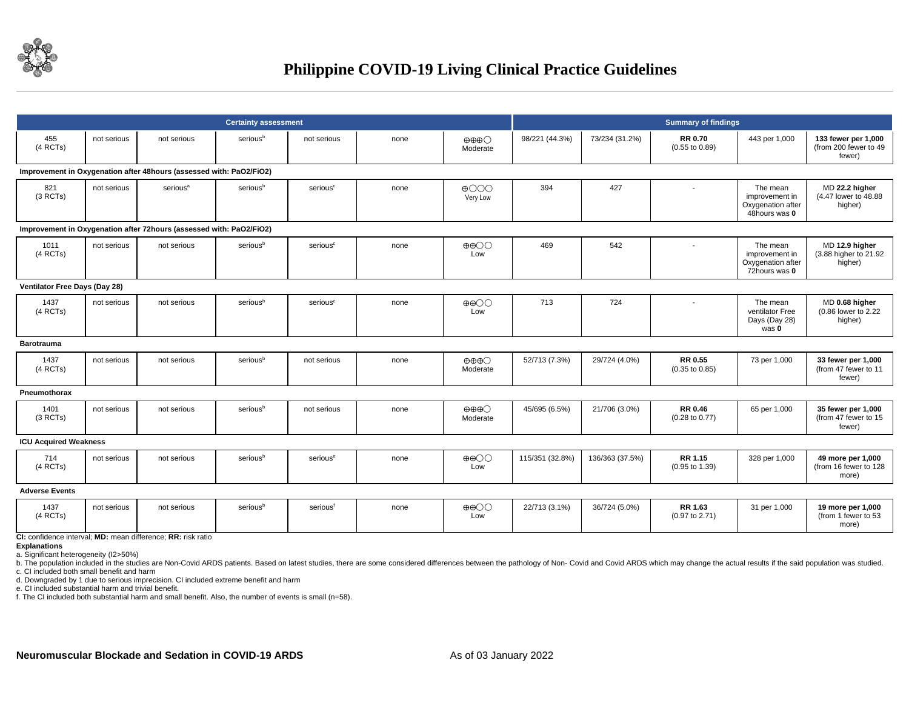

|                               |                                                                     |                                                                     | <b>Certainty assessment</b> |                      |      |                                               | <b>Summary of findings</b> |                 |                                             |                                                                  |                                                        |  |  |  |
|-------------------------------|---------------------------------------------------------------------|---------------------------------------------------------------------|-----------------------------|----------------------|------|-----------------------------------------------|----------------------------|-----------------|---------------------------------------------|------------------------------------------------------------------|--------------------------------------------------------|--|--|--|
| 455<br>$(4$ RCTs)             | not serious                                                         | not serious                                                         | serious <sup>b</sup>        | not serious          | none | $\oplus \oplus \oplus \bigcirc$<br>Moderate   | 98/221 (44.3%)             | 73/234 (31.2%)  | <b>RR 0.70</b><br>$(0.55$ to $0.89)$        | 443 per 1,000                                                    | 133 fewer per 1.000<br>(from 200 fewer to 49<br>fewer) |  |  |  |
|                               | Improvement in Oxygenation after 48hours (assessed with: PaO2/FiO2) |                                                                     |                             |                      |      |                                               |                            |                 |                                             |                                                                  |                                                        |  |  |  |
| 821<br>(3 RCTs)               | not serious                                                         | serious <sup>a</sup>                                                | seriousb                    | serious <sup>c</sup> | none | $\bigoplus$ $\bigodot$ $\bigodot$<br>Very Low | 394                        | 427             |                                             | The mean<br>improvement in<br>Oxygenation after<br>48hours was 0 | MD 22.2 higher<br>(4.47 lower to 48.88)<br>higher)     |  |  |  |
|                               |                                                                     | Improvement in Oxygenation after 72hours (assessed with: PaO2/FiO2) |                             |                      |      |                                               |                            |                 |                                             |                                                                  |                                                        |  |  |  |
| 1011<br>$(4$ RCTs)            | not serious                                                         | not serious                                                         | seriousb                    | serious <sup>c</sup> | none | $\oplus$ $\oplus$<br>Low                      | 469                        | 542             |                                             | The mean<br>improvement in<br>Oxygenation after<br>72hours was 0 | MD 12.9 higher<br>(3.88 higher to 21.92)<br>higher)    |  |  |  |
| Ventilator Free Days (Day 28) |                                                                     |                                                                     |                             |                      |      |                                               |                            |                 |                                             |                                                                  |                                                        |  |  |  |
| 1437<br>$(4$ RCTs)            | not serious                                                         | not serious                                                         | serious <sup>b</sup>        | serious <sup>c</sup> | none | $\oplus$ $\oplus$<br>Low                      | 713                        | 724             |                                             | The mean<br>ventilator Free<br>Days (Day 28)<br>was 0            | MD 0.68 higher<br>(0.86 lower to 2.22<br>higher)       |  |  |  |
| <b>Barotrauma</b>             |                                                                     |                                                                     |                             |                      |      |                                               |                            |                 |                                             |                                                                  |                                                        |  |  |  |
| 1437<br>$(4$ RCTs)            | not serious                                                         | not serious                                                         | seriousb                    | not serious          | none | $\oplus \oplus \oplus \bigcirc$<br>Moderate   | 52/713 (7.3%)              | 29/724 (4.0%)   | <b>RR 0.55</b><br>$(0.35 \text{ to } 0.85)$ | 73 per 1,000                                                     | 33 fewer per 1,000<br>(from 47 fewer to 11<br>fewer)   |  |  |  |
| Pneumothorax                  |                                                                     |                                                                     |                             |                      |      |                                               |                            |                 |                                             |                                                                  |                                                        |  |  |  |
| 1401<br>(3 RCTs)              | not serious                                                         | not serious                                                         | serious <sup>b</sup>        | not serious          | none | $\oplus \oplus \oplus \bigcirc$<br>Moderate   | 45/695 (6.5%)              | 21/706 (3.0%)   | <b>RR 0.46</b><br>$(0.28 \text{ to } 0.77)$ | 65 per 1,000                                                     | 35 fewer per 1,000<br>(from 47 fewer to 15<br>fewer)   |  |  |  |
| <b>ICU Acquired Weakness</b>  |                                                                     |                                                                     |                             |                      |      |                                               |                            |                 |                                             |                                                                  |                                                        |  |  |  |
| 714<br>$(4$ RCTs)             | not serious                                                         | not serious                                                         | serious <sup>b</sup>        | serious <sup>e</sup> | none | $\oplus$ OO<br>Low                            | 115/351 (32.8%)            | 136/363 (37.5%) | RR 1.15<br>$(0.95 \text{ to } 1.39)$        | 328 per 1,000                                                    | 49 more per 1,000<br>(from 16 fewer to 128<br>more)    |  |  |  |
| <b>Adverse Events</b>         |                                                                     |                                                                     |                             |                      |      |                                               |                            |                 |                                             |                                                                  |                                                        |  |  |  |
| 1437<br>$(4$ RCTs)            | not serious                                                         | not serious                                                         | serious <sup>b</sup>        | serious <sup>f</sup> | none | $\oplus$ $\oplus$<br>Low                      | 22/713 (3.1%)              | 36/724 (5.0%)   | RR 1.63<br>$(0.97$ to $2.71)$               | 31 per 1,000                                                     | 19 more per 1,000<br>(from 1 fewer to 53<br>more)      |  |  |  |

**CI:** confidence interval; **MD:** mean difference; **RR:** risk ratio

**Explanations**

a. Significant heterogeneity (I2>50%)

b. The population included in the studies are Non-Covid ARDS patients. Based on latest studies, there are some considered differences between the pathology of Non- Covid and Covid ARDS which may change the actual results i c. CI included both small benefit and harm

d. Downgraded by 1 due to serious imprecision. CI included extreme benefit and harm

e. CI included substantial harm and trivial benefit.

f. The CI included both substantial harm and small benefit. Also, the number of events is small (n=58).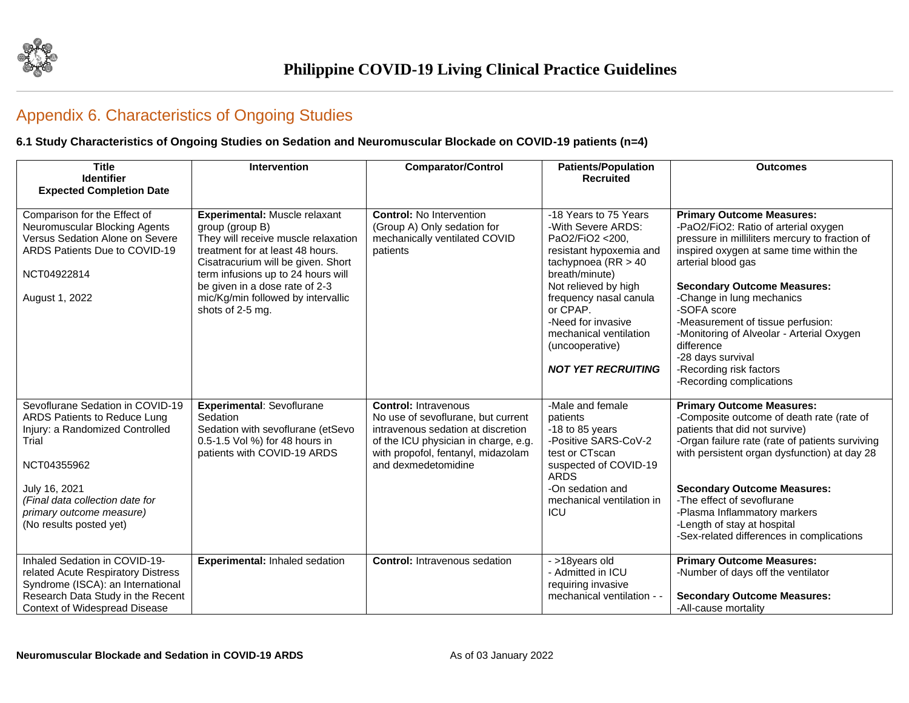

## Appendix 6. Characteristics of Ongoing Studies

#### **6.1 Study Characteristics of Ongoing Studies on Sedation and Neuromuscular Blockade on COVID-19 patients (n=4)**

| <b>Title</b><br><b>Identifier</b><br><b>Expected Completion Date</b>                                                                                                                                                                   | Intervention                                                                                                                                                                                                                                                                                        | <b>Comparator/Control</b>                                                                                                                                                                                    | <b>Patients/Population</b><br><b>Recruited</b>                                                                                                                                                                                                                                                     | <b>Outcomes</b>                                                                                                                                                                                                                                                                                                                                                                                                                                           |
|----------------------------------------------------------------------------------------------------------------------------------------------------------------------------------------------------------------------------------------|-----------------------------------------------------------------------------------------------------------------------------------------------------------------------------------------------------------------------------------------------------------------------------------------------------|--------------------------------------------------------------------------------------------------------------------------------------------------------------------------------------------------------------|----------------------------------------------------------------------------------------------------------------------------------------------------------------------------------------------------------------------------------------------------------------------------------------------------|-----------------------------------------------------------------------------------------------------------------------------------------------------------------------------------------------------------------------------------------------------------------------------------------------------------------------------------------------------------------------------------------------------------------------------------------------------------|
| Comparison for the Effect of<br>Neuromuscular Blocking Agents<br>Versus Sedation Alone on Severe<br>ARDS Patients Due to COVID-19<br>NCT04922814<br>August 1, 2022                                                                     | Experimental: Muscle relaxant<br>group (group B)<br>They will receive muscle relaxation<br>treatment for at least 48 hours.<br>Cisatracurium will be given. Short<br>term infusions up to 24 hours will<br>be given in a dose rate of 2-3<br>mic/Kg/min followed by intervallic<br>shots of 2-5 mg. | <b>Control: No Intervention</b><br>(Group A) Only sedation for<br>mechanically ventilated COVID<br>patients                                                                                                  | -18 Years to 75 Years<br>-With Severe ARDS:<br>PaO2/FiO2 <200.<br>resistant hypoxemia and<br>tachypnoea $(RR > 40$<br>breath/minute)<br>Not relieved by high<br>frequency nasal canula<br>or CPAP.<br>-Need for invasive<br>mechanical ventilation<br>(uncooperative)<br><b>NOT YET RECRUITING</b> | <b>Primary Outcome Measures:</b><br>-PaO2/FiO2: Ratio of arterial oxygen<br>pressure in milliliters mercury to fraction of<br>inspired oxygen at same time within the<br>arterial blood gas<br><b>Secondary Outcome Measures:</b><br>-Change in lung mechanics<br>-SOFA score<br>-Measurement of tissue perfusion:<br>-Monitoring of Alveolar - Arterial Oxygen<br>difference<br>-28 days survival<br>-Recording risk factors<br>-Recording complications |
| Sevoflurane Sedation in COVID-19<br>ARDS Patients to Reduce Lung<br>Injury: a Randomized Controlled<br>Trial<br>NCT04355962<br>July 16, 2021<br>(Final data collection date for<br>primary outcome measure)<br>(No results posted yet) | <b>Experimental: Sevoflurane</b><br>Sedation<br>Sedation with sevoflurane (etSevo<br>0.5-1.5 Vol %) for 48 hours in<br>patients with COVID-19 ARDS                                                                                                                                                  | <b>Control: Intravenous</b><br>No use of sevoflurane, but current<br>intravenous sedation at discretion<br>of the ICU physician in charge, e.g.<br>with propofol, fentanyl, midazolam<br>and dexmedetomidine | -Male and female<br>patients<br>$-18$ to 85 years<br>-Positive SARS-CoV-2<br>test or CTscan<br>suspected of COVID-19<br><b>ARDS</b><br>-On sedation and<br>mechanical ventilation in<br>ICU                                                                                                        | <b>Primary Outcome Measures:</b><br>-Composite outcome of death rate (rate of<br>patients that did not survive)<br>-Organ failure rate (rate of patients surviving<br>with persistent organ dysfunction) at day 28<br><b>Secondary Outcome Measures:</b><br>-The effect of sevoflurane<br>-Plasma Inflammatory markers<br>-Length of stay at hospital<br>-Sex-related differences in complications                                                        |
| Inhaled Sedation in COVID-19-<br>related Acute Respiratory Distress<br>Syndrome (ISCA): an International<br>Research Data Study in the Recent<br><b>Context of Widespread Disease</b>                                                  | Experimental: Inhaled sedation                                                                                                                                                                                                                                                                      | <b>Control: Intravenous sedation</b>                                                                                                                                                                         | - >18years old<br>- Admitted in ICU<br>requiring invasive<br>mechanical ventilation -                                                                                                                                                                                                              | <b>Primary Outcome Measures:</b><br>-Number of days off the ventilator<br><b>Secondary Outcome Measures:</b><br>-All-cause mortality                                                                                                                                                                                                                                                                                                                      |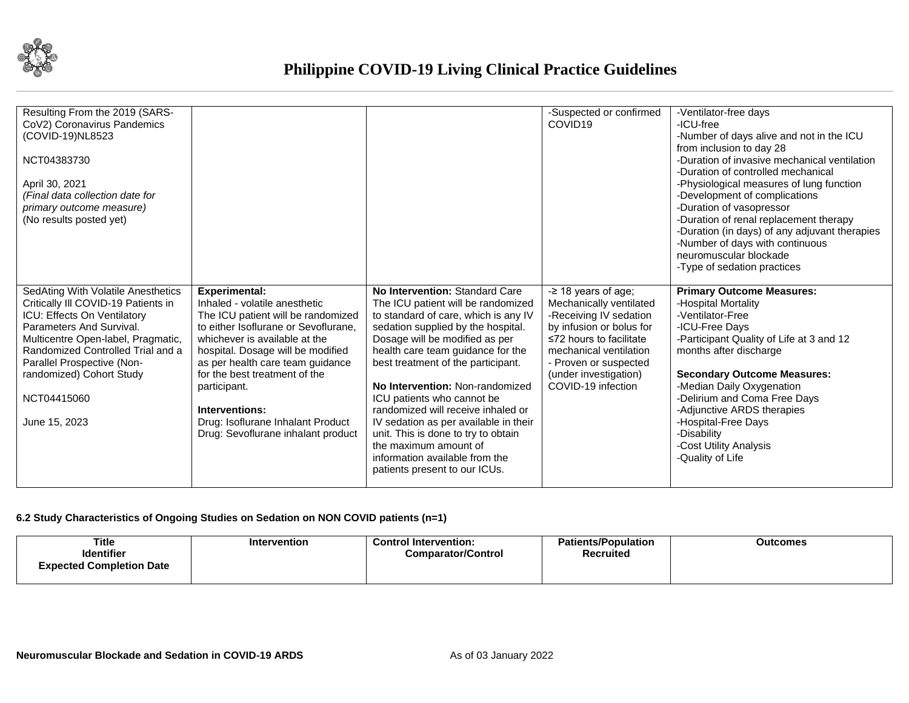

| Resulting From the 2019 (SARS-<br>CoV2) Coronavirus Pandemics<br>(COVID-19)NL8523<br>NCT04383730<br>April 30, 2021<br>(Final data collection date for<br>primary outcome measure)<br>(No results posted yet)                                                                                              |                                                                                                                                                                                                                                                                                                                                                                                             |                                                                                                                                                                                                                                                                                                                                                                                                                                                                                                                                                    | -Suspected or confirmed<br>COVID <sub>19</sub>                                                                                                                                                                                             | -Ventilator-free days<br>$-ICU-free$<br>-Number of days alive and not in the ICU<br>from inclusion to day 28<br>-Duration of invasive mechanical ventilation<br>-Duration of controlled mechanical<br>-Physiological measures of lung function<br>-Development of complications<br>-Duration of vasopressor<br>-Duration of renal replacement therapy<br>-Duration (in days) of any adjuvant therapies<br>-Number of days with continuous<br>neuromuscular blockade<br>-Type of sedation practices |
|-----------------------------------------------------------------------------------------------------------------------------------------------------------------------------------------------------------------------------------------------------------------------------------------------------------|---------------------------------------------------------------------------------------------------------------------------------------------------------------------------------------------------------------------------------------------------------------------------------------------------------------------------------------------------------------------------------------------|----------------------------------------------------------------------------------------------------------------------------------------------------------------------------------------------------------------------------------------------------------------------------------------------------------------------------------------------------------------------------------------------------------------------------------------------------------------------------------------------------------------------------------------------------|--------------------------------------------------------------------------------------------------------------------------------------------------------------------------------------------------------------------------------------------|----------------------------------------------------------------------------------------------------------------------------------------------------------------------------------------------------------------------------------------------------------------------------------------------------------------------------------------------------------------------------------------------------------------------------------------------------------------------------------------------------|
| SedAting With Volatile Anesthetics<br>Critically III COVID-19 Patients in<br>ICU: Effects On Ventilatory<br>Parameters And Survival.<br>Multicentre Open-label, Pragmatic,<br>Randomized Controlled Trial and a<br>Parallel Prospective (Non-<br>randomized) Cohort Study<br>NCT04415060<br>June 15, 2023 | <b>Experimental:</b><br>Inhaled - volatile anesthetic<br>The ICU patient will be randomized<br>to either Isoflurane or Sevoflurane.<br>whichever is available at the<br>hospital. Dosage will be modified<br>as per health care team guidance<br>for the best treatment of the<br>participant.<br>Interventions:<br>Drug: Isoflurane Inhalant Product<br>Drug: Sevoflurane inhalant product | No Intervention: Standard Care<br>The ICU patient will be randomized<br>to standard of care, which is any IV<br>sedation supplied by the hospital.<br>Dosage will be modified as per<br>health care team guidance for the<br>best treatment of the participant.<br>No Intervention: Non-randomized<br>ICU patients who cannot be<br>randomized will receive inhaled or<br>IV sedation as per available in their<br>unit. This is done to try to obtain<br>the maximum amount of<br>information available from the<br>patients present to our ICUs. | $-$ 2 18 years of age;<br>Mechanically ventilated<br>-Receiving IV sedation<br>by infusion or bolus for<br>$\leq$ 72 hours to facilitate<br>mechanical ventilation<br>- Proven or suspected<br>(under investigation)<br>COVID-19 infection | <b>Primary Outcome Measures:</b><br>-Hospital Mortality<br>-Ventilator-Free<br>-ICU-Free Davs<br>-Participant Quality of Life at 3 and 12<br>months after discharge<br><b>Secondary Outcome Measures:</b><br>-Median Daily Oxygenation<br>-Delirium and Coma Free Days<br>-Adjunctive ARDS therapies<br>-Hospital-Free Days<br>-Disability<br>-Cost Utility Analysis<br>-Quality of Life                                                                                                           |

#### **6.2 Study Characteristics of Ongoing Studies on Sedation on NON COVID patients (n=1)**

| Title                           | Intervention | <b>Control Intervention:</b>     | <b>Patients/Population</b> | <b>Outcomes</b> |
|---------------------------------|--------------|----------------------------------|----------------------------|-----------------|
| <b>Identifier</b>               |              | . .<br><b>Comparator/Control</b> | Recruited                  |                 |
| <b>Expected Completion Date</b> |              |                                  |                            |                 |
|                                 |              |                                  |                            |                 |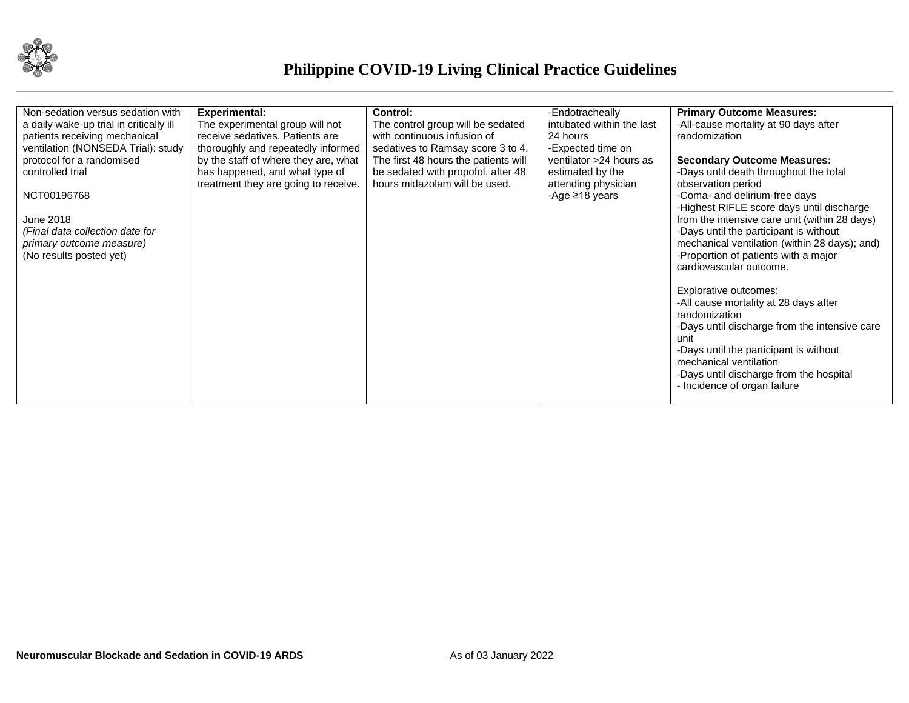

| Non-sedation versus sedation with            | <b>Experimental:</b>                 | <b>Control:</b>                      | -Endotracheally           | <b>Primary Outcome Measures:</b>                                                        |
|----------------------------------------------|--------------------------------------|--------------------------------------|---------------------------|-----------------------------------------------------------------------------------------|
| a daily wake-up trial in critically ill      | The experimental group will not      | The control group will be sedated    | intubated within the last | -All-cause mortality at 90 days after                                                   |
| patients receiving mechanical                | receive sedatives. Patients are      | with continuous infusion of          | 24 hours                  | randomization                                                                           |
| ventilation (NONSEDA Trial): study           | thoroughly and repeatedly informed   | sedatives to Ramsay score 3 to 4.    | -Expected time on         |                                                                                         |
| protocol for a randomised                    | by the staff of where they are, what | The first 48 hours the patients will | ventilator >24 hours as   | <b>Secondary Outcome Measures:</b>                                                      |
| controlled trial                             | has happened, and what type of       | be sedated with propofol, after 48   | estimated by the          | -Days until death throughout the total                                                  |
|                                              | treatment they are going to receive. | hours midazolam will be used.        | attending physician       | observation period                                                                      |
| NCT00196768                                  |                                      |                                      | -Age $\geq$ 18 years      | -Coma- and delirium-free days                                                           |
|                                              |                                      |                                      |                           | -Highest RIFLE score days until discharge                                               |
| June 2018<br>(Final data collection date for |                                      |                                      |                           | from the intensive care unit (within 28 days)<br>-Days until the participant is without |
| primary outcome measure)                     |                                      |                                      |                           | mechanical ventilation (within 28 days); and)                                           |
| (No results posted yet)                      |                                      |                                      |                           | -Proportion of patients with a major                                                    |
|                                              |                                      |                                      |                           | cardiovascular outcome.                                                                 |
|                                              |                                      |                                      |                           |                                                                                         |
|                                              |                                      |                                      |                           | Explorative outcomes:                                                                   |
|                                              |                                      |                                      |                           | -All cause mortality at 28 days after                                                   |
|                                              |                                      |                                      |                           | randomization                                                                           |
|                                              |                                      |                                      |                           | -Days until discharge from the intensive care                                           |
|                                              |                                      |                                      |                           | unit                                                                                    |
|                                              |                                      |                                      |                           | -Days until the participant is without                                                  |
|                                              |                                      |                                      |                           | mechanical ventilation                                                                  |
|                                              |                                      |                                      |                           | -Days until discharge from the hospital                                                 |
|                                              |                                      |                                      |                           | - Incidence of organ failure                                                            |
|                                              |                                      |                                      |                           |                                                                                         |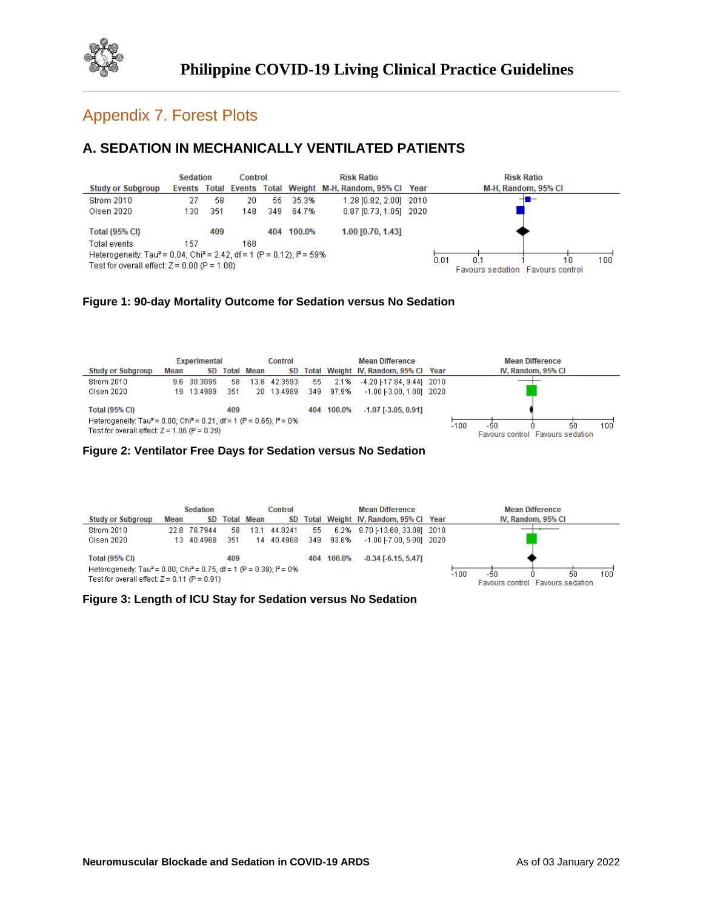

## Appendix 7. Forest Plots

## **A. SEDATION IN MECHANICALLY VENTILATED PATIENTS**



#### **Figure 1: 90-day Mortality Outcome for Sedation versus No Sedation**

|                                                                                                                                                                          |      | <b>Experimental</b> |     |                   | <b>Control</b> |     |            | <b>Mean Difference</b>                  |        |                                         | <b>Mean Difference</b> |     |
|--------------------------------------------------------------------------------------------------------------------------------------------------------------------------|------|---------------------|-----|-------------------|----------------|-----|------------|-----------------------------------------|--------|-----------------------------------------|------------------------|-----|
| <b>Study or Subgroup</b>                                                                                                                                                 | Mean | SD.                 |     | <b>Total Mean</b> |                |     |            | SD Total Weight IV, Random, 95% Cl Year |        |                                         | IV, Random, 95% CI     |     |
| Strom 2010                                                                                                                                                               |      | 9.6 30.3095         | 58  |                   | 13.8 42.3593   | 55  | 2.1%       | -4.20 [-17.84, 9.44] 2010               |        |                                         |                        |     |
| Olsen 2020                                                                                                                                                               |      | 19 13 4989          | 351 |                   | 20 13.4989     | 349 | 97.9%      | $-1.00$ [ $-3.00$ , 1.00] 2020          |        |                                         |                        |     |
| <b>Total (95% CI)</b><br>Heterogeneity: Tau <sup>2</sup> = 0.00; Chi <sup>2</sup> = 0.21, df = 1 (P = 0.65); $P = 0\%$<br>Test for overall effect: $Z = 1.06$ (P = 0.29) |      |                     | 409 |                   |                |     | 404 100.0% | $-1.07$ [ $-3.05, 0.91$ ]               | $-100$ | -50<br>Favours control Favours sedation | -50                    | 100 |

#### **Figure 2: Ventilator Free Days for Sedation versus No Sedation**

|                                                                                                                                                 |      | <b>Sedation</b> |     |                   | Control    |     |        | <b>Mean Difference</b>               |        |     | <b>Mean Difference</b>                 |           |
|-------------------------------------------------------------------------------------------------------------------------------------------------|------|-----------------|-----|-------------------|------------|-----|--------|--------------------------------------|--------|-----|----------------------------------------|-----------|
| <b>Study or Subgroup</b>                                                                                                                        | Mean | SD              |     | <b>Total Mean</b> | SD.        |     |        | Total Weight IV, Random, 95% Cl Year |        |     | IV. Random, 95% CI                     |           |
| Strom 2010                                                                                                                                      |      | 22.8 78.7944    | 58  | 13.1              | 44.0241    | 55  |        | 6.2% 9.70 [-13.68, 33.08] 2010       |        |     |                                        |           |
| Olsen 2020                                                                                                                                      |      | 13 40.4968      | 351 |                   | 14 40.4968 | 349 | 93.8%  | $-1.00$ F7.00, 5.001 2020            |        |     |                                        |           |
| <b>Total (95% CI)</b>                                                                                                                           |      |                 | 409 |                   |            | 404 | 100.0% | $-0.34$ [ $-6.15, 5.47$ ]            |        |     |                                        |           |
| Heterogeneity: Tau <sup>2</sup> = 0.00; Chi <sup>2</sup> = 0.75, df = 1 (P = 0.38); $P = 0\%$<br>Test for overall effect: $Z = 0.11$ (P = 0.91) |      |                 |     |                   |            |     |        |                                      | $-100$ | -50 | 50<br>Favours control Favours sedation | $100^{1}$ |

#### **Figure 3: Length of ICU Stay for Sedation versus No Sedation**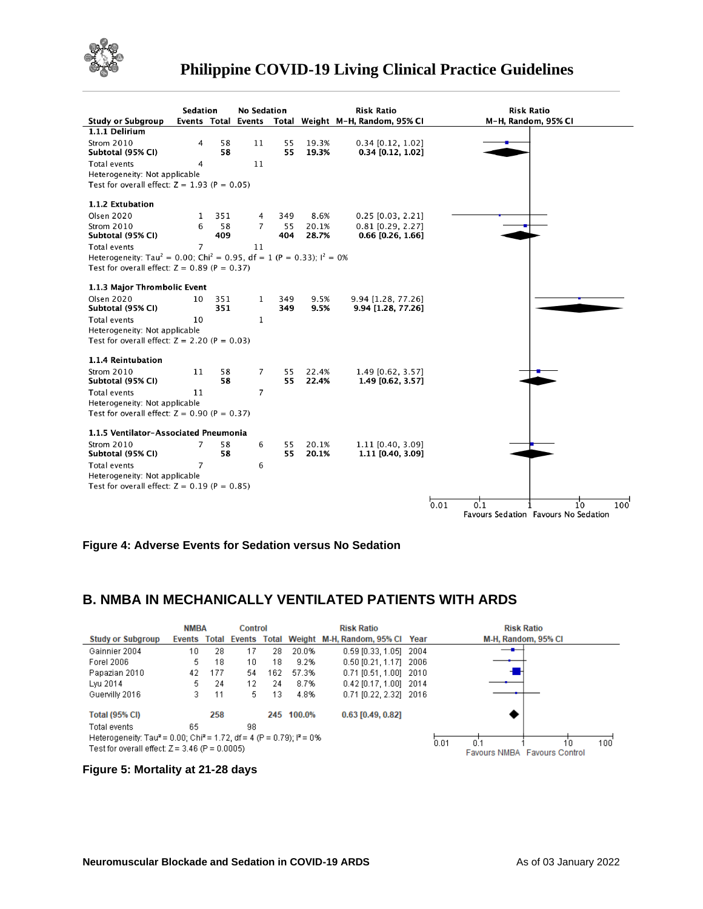

|                                                                                                 | Sedation       |          |                     | <b>No Sedation</b> |                | <b>Risk Ratio</b>                          | <b>Risk Ratio</b>                                                       |
|-------------------------------------------------------------------------------------------------|----------------|----------|---------------------|--------------------|----------------|--------------------------------------------|-------------------------------------------------------------------------|
| <b>Study or Subgroup</b>                                                                        |                |          | Events Total Events |                    |                | Total Weight M-H, Random, 95% CI           | M-H, Random, 95% CI                                                     |
| 1.1.1 Delirium                                                                                  |                |          |                     |                    |                |                                            |                                                                         |
| Strom 2010<br>Subtotal (95% CI)                                                                 | 4              | 58<br>58 | 11                  | 55<br>55           | 19.3%<br>19.3% | $0.34$ [0.12, 1.02]<br>$0.34$ [0.12, 1.02] |                                                                         |
| <b>Total events</b>                                                                             | 4              |          | 11                  |                    |                |                                            |                                                                         |
| Heterogeneity: Not applicable                                                                   |                |          |                     |                    |                |                                            |                                                                         |
| Test for overall effect: $Z = 1.93$ (P = 0.05)                                                  |                |          |                     |                    |                |                                            |                                                                         |
|                                                                                                 |                |          |                     |                    |                |                                            |                                                                         |
| 1.1.2 Extubation                                                                                |                |          |                     |                    |                |                                            |                                                                         |
| <b>Olsen 2020</b>                                                                               | 1              | 351      | 4                   | 349                | 8.6%           | $0.25$ [0.03, 2.21]                        |                                                                         |
| Strom 2010                                                                                      | 6              | 58       | $\overline{7}$      | 55                 | 20.1%          | $0.81$ [0.29, 2.27]                        |                                                                         |
| Subtotal (95% CI)                                                                               |                | 409      |                     | 404                | 28.7%          | $0.66$ [0.26, 1.66]                        |                                                                         |
| <b>Total events</b>                                                                             | $\overline{7}$ |          | 11                  |                    |                |                                            |                                                                         |
| Heterogeneity: Tau <sup>2</sup> = 0.00; Chi <sup>2</sup> = 0.95, df = 1 (P = 0.33); $I^2 = 0\%$ |                |          |                     |                    |                |                                            |                                                                         |
| Test for overall effect: $Z = 0.89$ (P = 0.37)                                                  |                |          |                     |                    |                |                                            |                                                                         |
| 1.1.3 Major Thrombolic Event                                                                    |                |          |                     |                    |                |                                            |                                                                         |
| <b>Olsen 2020</b>                                                                               | 10             | 351      | 1                   | 349                | 9.5%           | 9.94 [1.28, 77.26]                         |                                                                         |
| Subtotal (95% CI)                                                                               |                | 351      |                     | 349                | 9.5%           | 9.94 [1.28, 77.26]                         |                                                                         |
| Total events                                                                                    | 10             |          | $\mathbf{1}$        |                    |                |                                            |                                                                         |
| Heterogeneity: Not applicable                                                                   |                |          |                     |                    |                |                                            |                                                                         |
| Test for overall effect: $Z = 2.20$ (P = 0.03)                                                  |                |          |                     |                    |                |                                            |                                                                         |
| 1.1.4 Reintubation                                                                              |                |          |                     |                    |                |                                            |                                                                         |
| Strom 2010                                                                                      | 11             | 58       | 7                   | 55                 | 22.4%          | 1.49 [0.62, 3.57]                          |                                                                         |
| Subtotal (95% CI)                                                                               |                | 58       |                     | 55                 | 22.4%          | 1.49 [0.62, 3.57]                          |                                                                         |
| Total events                                                                                    | 11             |          | $\overline{7}$      |                    |                |                                            |                                                                         |
| Heterogeneity: Not applicable                                                                   |                |          |                     |                    |                |                                            |                                                                         |
| Test for overall effect: $Z = 0.90$ (P = 0.37)                                                  |                |          |                     |                    |                |                                            |                                                                         |
| 1.1.5 Ventilator-Associated Pneumonia                                                           |                |          |                     |                    |                |                                            |                                                                         |
| Strom 2010                                                                                      | $\overline{7}$ | 58       | 6                   | 55                 | 20.1%          | 1.11 [0.40, 3.09]                          |                                                                         |
| Subtotal (95% CI)                                                                               |                | 58       |                     | 55                 | 20.1%          | 1.11 [0.40, 3.09]                          |                                                                         |
| Total events                                                                                    | $\overline{7}$ |          | 6                   |                    |                |                                            |                                                                         |
| Heterogeneity: Not applicable                                                                   |                |          |                     |                    |                |                                            |                                                                         |
| Test for overall effect: $Z = 0.19$ (P = 0.85)                                                  |                |          |                     |                    |                |                                            |                                                                         |
|                                                                                                 |                |          |                     |                    |                |                                            |                                                                         |
|                                                                                                 |                |          |                     |                    |                |                                            | 0.01<br>0.1<br>10<br>100<br><b>Favours Sedation Favours No Sedation</b> |



## **B. NMBA IN MECHANICALLY VENTILATED PATIENTS WITH ARDS**

|                                                                                                         | <b>NMBA</b> |     | Control                   |     | <b>Risk Ratio</b> |                                 |  | <b>Risk Ratio</b>                   |
|---------------------------------------------------------------------------------------------------------|-------------|-----|---------------------------|-----|-------------------|---------------------------------|--|-------------------------------------|
| <b>Study or Subgroup</b>                                                                                |             |     | Events Total Events Total |     |                   | Weight M-H, Random, 95% Cl Year |  | M-H, Random, 95% CI                 |
| Gainnier 2004                                                                                           | 10          | 28  | 17                        | 28  | 20.0%             | 0.59 [0.33, 1.05] 2004          |  |                                     |
| Forel 2006                                                                                              | 5.          | 18  | 10                        | 18  | 9.2%              | 0.50 [0.21, 1.17] 2006          |  |                                     |
| Papazian 2010                                                                                           | 42          | 177 | 54                        | 162 | 57.3%             | $0.71$ [0.51, 1.00] 2010        |  |                                     |
| Lyu 2014                                                                                                | 5.          | 24  | 12                        | 24  | 8.7%              | 0.42 [0.17, 1.00] 2014          |  |                                     |
| Guervilly 2016                                                                                          | 3.          | 11  | 5.                        | 13  | 4.8%              | 0.71 [0.22, 2.32] 2016          |  |                                     |
| <b>Total (95% CI)</b>                                                                                   |             | 258 |                           |     | 245 100.0%        | $0.63$ [0.49, 0.82]             |  |                                     |
| Total events                                                                                            | 65          |     | 98                        |     |                   |                                 |  |                                     |
| Heterogeneity: Tau <sup>2</sup> = 0.00; Chi <sup>2</sup> = 1.72, df = 4 (P = 0.79); l <sup>2</sup> = 0% |             |     |                           |     |                   |                                 |  | 0.01<br>100<br>n٠<br>10             |
| Test for overall effect: $Z = 3.46$ (P = 0.0005)                                                        |             |     |                           |     |                   |                                 |  | <b>Favours NMBA Favours Control</b> |

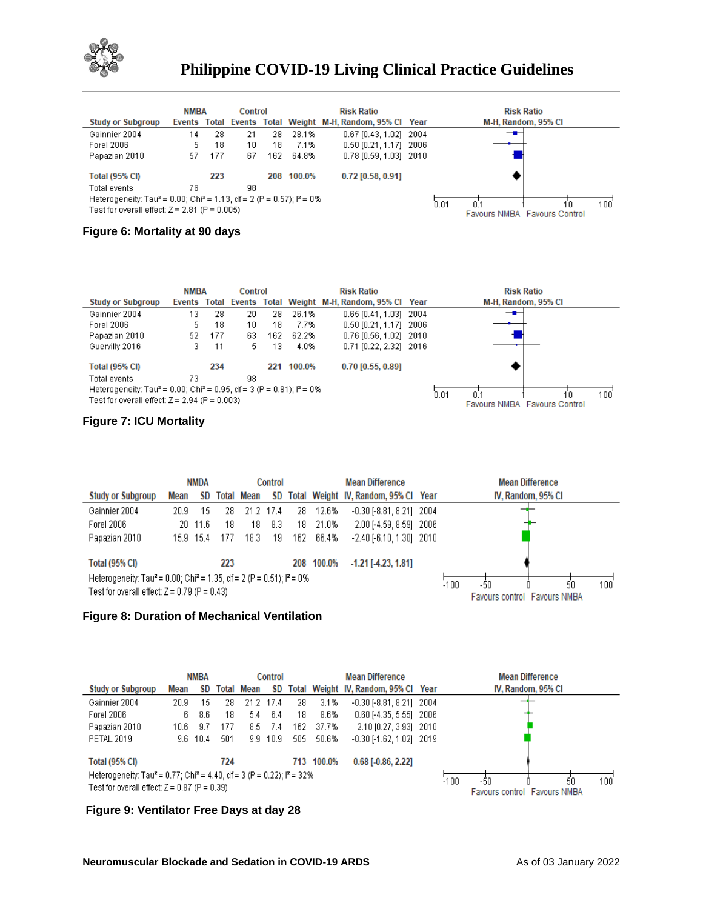

|                                                                                               | <b>NMBA</b> |     | Control |     |        | <b>Risk Ratio</b>                                         | <b>Risk Ratio</b>                   |
|-----------------------------------------------------------------------------------------------|-------------|-----|---------|-----|--------|-----------------------------------------------------------|-------------------------------------|
| <b>Study or Subgroup</b>                                                                      |             |     |         |     |        | Events Total Events Total Weight M-H, Random, 95% Cl Year | M-H, Random, 95% CI                 |
| Gainnier 2004                                                                                 | 14          | 28  | 21      | 28. | 28.1%  | 0.67 [0.43, 1.02] 2004                                    | —∎–                                 |
| Forel 2006                                                                                    | 5.          | 18  | 10      | 18  | 7.1%   | 0.50 [0.21, 1.17] 2006                                    |                                     |
| Papazian 2010                                                                                 | 57          | 177 | 67      | 162 | 64.8%  | $0.78$ [0.59, 1.03] 2010                                  |                                     |
| <b>Total (95% CI)</b>                                                                         |             | 223 |         | 208 | 100.0% | $0.72$ [0.58, 0.91]                                       |                                     |
| Total events                                                                                  | 76          |     | 98      |     |        |                                                           |                                     |
| Heterogeneity: Tau <sup>2</sup> = 0.00; Chi <sup>2</sup> = 1.13, df = 2 (P = 0.57); $P = 0\%$ |             |     |         |     |        |                                                           | 0.01<br>100<br>0.1<br>10            |
| Test for overall effect: $Z = 2.81$ (P = 0.005)                                               |             |     |         |     |        |                                                           | <b>Favours NMBA Favours Control</b> |

## **Figure 6: Mortality at 90 days**

|                                                                                               | <b>NMBA</b> |     | Control |     |        | <b>Risk Ratio</b>                                  | <b>Risk Ratio</b>                   |
|-----------------------------------------------------------------------------------------------|-------------|-----|---------|-----|--------|----------------------------------------------------|-------------------------------------|
| <b>Study or Subgroup</b>                                                                      | Events      |     |         |     |        | Total Events Total Weight M-H, Random, 95% Cl Year | M-H, Random, 95% CI                 |
| Gainnier 2004                                                                                 | 13.         | 28  | 20      | 28  | 26.1%  | 0.65 [0.41, 1.03] 2004                             | — <b>—</b>                          |
| Forel 2006                                                                                    | 5.          | 18  | 10      | 18  | 7.7%   | $0.50$ [0.21, 1.17] 2006                           |                                     |
| Papazian 2010                                                                                 | 52          | 177 | 63      | 162 | 62.2%  | 0.76 [0.56, 1.02] 2010                             |                                     |
| Guervilly 2016                                                                                | з.          | 11  | 5.      | 13  | 4.0%   | 0.71 [0.22, 2.32] 2016                             |                                     |
| <b>Total (95% CI)</b>                                                                         |             | 234 |         | 221 | 100.0% | $0.70$ [0.55, 0.89]                                |                                     |
| Total events                                                                                  | 73          |     | 98      |     |        |                                                    |                                     |
| Heterogeneity: Tau <sup>2</sup> = 0.00; Chi <sup>2</sup> = 0.95, df = 3 (P = 0.81); $P = 0\%$ |             |     |         |     |        |                                                    | 0.01<br>10<br>100<br>0 <sup>1</sup> |
| Test for overall effect: $Z = 2.94$ (P = 0.003)                                               |             |     |         |     |        |                                                    | <b>Favours NMBA Favours Control</b> |

### **Figure 7: ICU Mortality**

|                          |                                                                                                                                                                         | <b>NMDA</b> |     |                   | Control |     |       | <b>Mean Difference</b>               |  |  |  | <b>Mean Difference</b> |                                    |     |
|--------------------------|-------------------------------------------------------------------------------------------------------------------------------------------------------------------------|-------------|-----|-------------------|---------|-----|-------|--------------------------------------|--|--|--|------------------------|------------------------------------|-----|
| <b>Study or Subgroup</b> | Mean                                                                                                                                                                    | SD.         |     | <b>Total Mean</b> | SD      |     |       | Total Weight IV, Random, 95% Cl Year |  |  |  | IV, Random, 95% CI     |                                    |     |
| Gainnier 2004            | 20.9                                                                                                                                                                    | 15          | 28  | 21.2              | -17.4   | 28. | 12.6% | $-0.30$ $[-8.81, 8.21]$ 2004         |  |  |  |                        |                                    |     |
| Forel 2006               |                                                                                                                                                                         | 20 11.6     | 18  | 18                | 8.3     | 18  | 21.0% | 2.00 [-4.59, 8.59] 2006              |  |  |  |                        |                                    |     |
| Papazian 2010            |                                                                                                                                                                         | 15.9 15.4   | 177 | 18.3              | 19      | 162 | 66.4% | $-2.40$ $[-6.10, 1.30]$ 2010         |  |  |  |                        |                                    |     |
| <b>Total (95% CI)</b>    |                                                                                                                                                                         |             | 223 |                   |         |     |       | $-1.21$ [ $-4.23$ , $1.81$ ]         |  |  |  |                        |                                    |     |
|                          | 208 100.0%<br>Heterogeneity: Tau <sup>2</sup> = 0.00; Chi <sup>2</sup> = 1.35, df = 2 (P = 0.51); i <sup>2</sup> = 0%<br>Test for overall effect: $Z = 0.79$ (P = 0.43) |             |     |                   |         |     |       |                                      |  |  |  |                        | 50<br>Favours control Favours NMBA | 100 |

#### **Figure 8: Duration of Mechanical Ventilation**

|                                                                                                          |      | <b>NMBA</b> |     |                   | <b>Control</b> |      |            | <b>Mean Difference</b>               |        |                                     | <b>Mean Difference</b> |    |     |
|----------------------------------------------------------------------------------------------------------|------|-------------|-----|-------------------|----------------|------|------------|--------------------------------------|--------|-------------------------------------|------------------------|----|-----|
| <b>Study or Subgroup</b>                                                                                 | Mean | SD.         |     | <b>Total Mean</b> | SD             |      |            | Total Weight IV, Random, 95% Cl Year |        |                                     | IV, Random, 95% CI     |    |     |
| Gainnier 2004                                                                                            | 20.9 | 15          | 28  | 21.2              | -17.4          | 28   | 3.1%       | $-0.30$ $[-8.81, 8.21]$ 2004         |        |                                     |                        |    |     |
| Forel 2006                                                                                               | 6.   | 8.6         | 18  | 5.4               | 6.4            | 18   | 8.6%       | 0.60 [-4.35, 5.55] 2006              |        |                                     |                        |    |     |
| Papazian 2010                                                                                            | 10.6 | -9.7        | 177 | 8.5               | -7.4           | 162. | 37.7%      | 2.10 [0.27, 3.93] 2010               |        |                                     |                        |    |     |
| <b>PETAL 2019</b>                                                                                        |      | $9.6$ 10.4  | 501 | 9.9               | 10.9           | 505  | 50.6%      | $-0.30$ $[-1.62, 1.02]$ 2019         |        |                                     |                        |    |     |
| <b>Total (95% CI)</b>                                                                                    |      |             | 724 |                   |                |      | 713 100.0% | $0.68$ [-0.86, 2.22]                 |        |                                     |                        |    |     |
|                                                                                                          |      |             |     |                   |                |      |            |                                      |        |                                     |                        |    |     |
| Heterogeneity: Tau <sup>2</sup> = 0.77; Chi <sup>2</sup> = 4.40, df = 3 (P = 0.22); l <sup>2</sup> = 32% |      |             |     |                   |                |      |            |                                      | $-100$ | -50                                 |                        | 50 | 100 |
| Test for overall effect: $Z = 0.87$ (P = 0.39)                                                           |      |             |     |                   |                |      |            |                                      |        | <b>Favours control</b> Favours NMBA |                        |    |     |

### **Figure 9: Ventilator Free Days at day 28**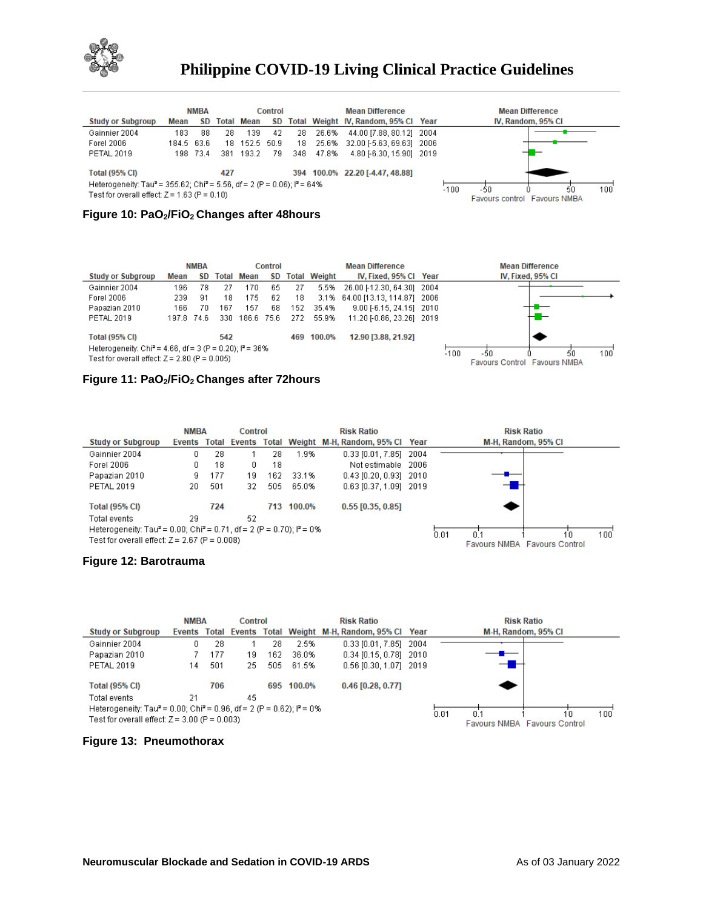

|                                                                                                                                                                                       |            | <b>NMBA</b> |     |                   | Control |     |       | <b>Mean Difference</b>               | <b>Mean Difference</b>                                     |
|---------------------------------------------------------------------------------------------------------------------------------------------------------------------------------------|------------|-------------|-----|-------------------|---------|-----|-------|--------------------------------------|------------------------------------------------------------|
| <b>Study or Subgroup</b>                                                                                                                                                              | Mean       | SD.         |     | <b>Total Mean</b> | SD.     |     |       | Total Weight IV, Random, 95% Cl Year | IV, Random, 95% CI                                         |
| Gainnier 2004                                                                                                                                                                         | 183        | 88          | 28  | 139               | 42      | 28  | 26.6% | 44.00 [7.88, 80.12] 2004             |                                                            |
| Forel 2006                                                                                                                                                                            | 184.5 63.6 |             | 18  | 152.5 50.9        |         | 18  | 25.6% | 32.00 [-5.63, 69.63] 2006            |                                                            |
| <b>PETAL 2019</b>                                                                                                                                                                     |            | 198 73.4    |     | 381 193.2         | 79      | 348 | 47.8% | 4.80 [-6.30, 15.90] 2019             |                                                            |
| <b>Total (95% CI)</b><br>Heterogeneity: Tau <sup>2</sup> = 355.62; Chi <sup>2</sup> = 5.56, df = 2 (P = 0.06); l <sup>2</sup> = 64%<br>Test for overall effect: $Z = 1.63$ (P = 0.10) |            |             | 427 |                   |         |     |       | 394 100.0% 22.20 [-4.47, 48.88]      | $-100$<br>50<br>-50<br>100<br>Favours control Favours NMBA |

#### **Figure 10: PaO2/FiO2 Changes after 48hours**

|                                                                                                                          |            | <b>NMBA</b> |       |            | Control |      |                     | <b>Mean Difference</b>          | <b>Mean Difference</b>                                            |
|--------------------------------------------------------------------------------------------------------------------------|------------|-------------|-------|------------|---------|------|---------------------|---------------------------------|-------------------------------------------------------------------|
| <b>Study or Subgroup</b>                                                                                                 | Mean       | SD.         | Total | Mean       | SD.     |      | <b>Total Weight</b> | IV, Fixed, 95% CI Year          | IV, Fixed, 95% CI                                                 |
| Gainnier 2004                                                                                                            | 196        | 78          | 27    | 170        | 65      | 27   |                     | 5.5% 26.00 [-12.30, 64.30] 2004 |                                                                   |
| Forel 2006                                                                                                               | 239        | 91          | 18    | 175        | 62      | 18   |                     | 3.1% 64.00 [13.13, 114.87] 2006 |                                                                   |
| Papazian 2010                                                                                                            | 166        | 70          | 167   | 157        | 68      | 152  | 35.4%               | 9.00 [-6.15, 24.15] 2010        |                                                                   |
| <b>PETAL 2019</b>                                                                                                        | 197.8 74.6 |             | 330   | 186.6 75.6 |         | -272 | 55.9%               | 11.20 [-0.86, 23.26] 2019       | −                                                                 |
| <b>Total (95% CI)</b>                                                                                                    |            |             | 542   |            |         |      | 469 100.0%          | 12.90 [3.88, 21.92]             |                                                                   |
| Heterogeneity: Chi <sup>2</sup> = 4.66, df = 3 (P = 0.20); $P = 36\%$<br>Test for overall effect: $Z = 2.80$ (P = 0.005) |            |             |       |            |         |      |                     |                                 | $-100$<br>100<br>-50<br>50<br><b>Favours Control Favours NMBA</b> |

#### **Figure 11: PaO2/FiO2 Changes after 72hours**

|                                                                                               | <b>NMBA</b> |     | Control |     |            | <b>Risk Ratio</b>                                         | <b>Risk Ratio</b>                   |     |
|-----------------------------------------------------------------------------------------------|-------------|-----|---------|-----|------------|-----------------------------------------------------------|-------------------------------------|-----|
| <b>Study or Subgroup</b>                                                                      |             |     |         |     |            | Events Total Events Total Weight M-H, Random, 95% Cl Year | M-H, Random, 95% CI                 |     |
| Gainnier 2004                                                                                 | 0.          | 28  |         | 28  | 1.9%       | $0.33$ [0.01, 7.85] 2004                                  |                                     |     |
| Forel 2006                                                                                    | 0.          | 18  | 0       | 18  |            | Not estimable 2006                                        |                                     |     |
| Papazian 2010                                                                                 | 9.          | 177 | 19      | 162 | 33.1%      | $0.43$ [0.20, 0.93] 2010                                  |                                     |     |
| <b>PETAL 2019</b>                                                                             | 20          | 501 | 32      | 505 | 65.0%      | 0.63 [0.37, 1.09] 2019                                    |                                     |     |
| <b>Total (95% CI)</b>                                                                         |             | 724 |         |     | 713 100.0% | $0.55$ [0.35, 0.85]                                       |                                     |     |
| Total events                                                                                  | 29          |     | 52      |     |            |                                                           |                                     |     |
| Heterogeneity: Tau <sup>2</sup> = 0.00; Chi <sup>2</sup> = 0.71, df = 2 (P = 0.70); $P = 0\%$ |             |     |         |     |            |                                                           | 0.01<br>10                          | 100 |
| Test for overall effect: $Z = 2.67$ (P = 0.008)                                               |             |     |         |     |            |                                                           | <b>Favours NMBA Favours Control</b> |     |

#### **Figure 12: Barotrauma**



#### **Figure 13: Pneumothorax**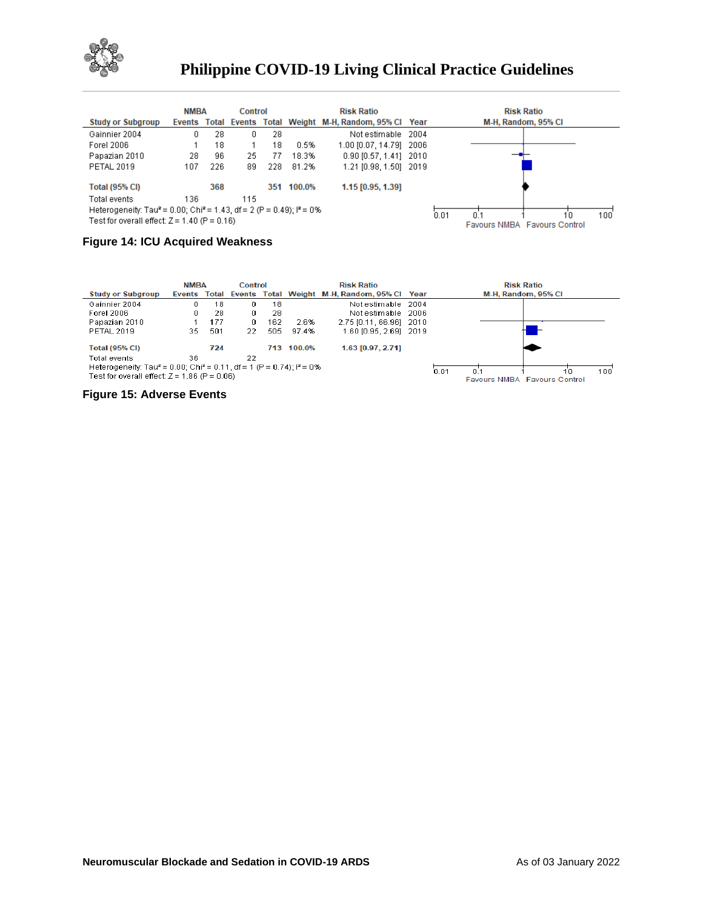

|                                                                                                         | <b>NMBA</b> |     | Control |     |        | <b>Risk Ratio</b>                                         | <b>Risk Ratio</b>                   |
|---------------------------------------------------------------------------------------------------------|-------------|-----|---------|-----|--------|-----------------------------------------------------------|-------------------------------------|
| <b>Study or Subgroup</b>                                                                                |             |     |         |     |        | Events Total Events Total Weight M-H, Random, 95% Cl Year | M-H, Random, 95% CI                 |
| Gainnier 2004                                                                                           | 0.          | 28  | 0.      | 28  |        | Not estimable 2004                                        |                                     |
| Forel 2006                                                                                              |             | 18  |         | 18  | 0.5%   | 1.00 [0.07, 14.79] 2006                                   |                                     |
| Papazian 2010                                                                                           | 28          | 96  | 25      | 77  | 18.3%  | $0.90$ [0.57, 1.41] 2010                                  |                                     |
| <b>PETAL 2019</b>                                                                                       | 107         | 226 | 89      | 228 | 81.2%  | 1.21 [0.98, 1.50] 2019                                    |                                     |
| <b>Total (95% CI)</b>                                                                                   |             | 368 |         | 351 | 100.0% | 1.15 [0.95, 1.39]                                         |                                     |
| Total events                                                                                            | 136         |     | 115     |     |        |                                                           |                                     |
| Heterogeneity: Tau <sup>2</sup> = 0.00; Chi <sup>2</sup> = 1.43, df = 2 (P = 0.49); l <sup>2</sup> = 0% |             |     |         |     |        |                                                           | 0.01<br>100<br>10<br>n 1            |
| Test for overall effect: $Z = 1.40$ (P = 0.16)                                                          |             |     |         |     |        |                                                           | <b>Eavours NMBA Eavours Control</b> |

### **Figure 14: ICU Acquired Weakness**

|                                                                                                                                                  | <b>NMBA</b>  |     | Control |     |            | <b>Risk Ratio</b>                            | <b>Risk Ratio</b>                                              |
|--------------------------------------------------------------------------------------------------------------------------------------------------|--------------|-----|---------|-----|------------|----------------------------------------------|----------------------------------------------------------------|
| <b>Study or Subgroup</b>                                                                                                                         | Events Total |     |         |     |            | Events Total Weight M-H, Random, 95% Cl Year | M-H. Random, 95% CI                                            |
| Gainnier 2004                                                                                                                                    | n.           | 18  | Ω.      | 18  |            | Not estimable 2004                           |                                                                |
| Forel 2006                                                                                                                                       | 0.           | 28  | 0.      | 28  |            | Not estimable 2006                           |                                                                |
| Papazian 2010                                                                                                                                    |              | 177 | 0.      | 162 | 2.6%       | 2.75 [0.11, 66.96] 2010                      |                                                                |
| <b>PETAL 2019</b>                                                                                                                                | 35.          | 501 | 22.     | 505 | 97.4%      | 1.60 [0.95, 2.69] 2019                       |                                                                |
| <b>Total (95% CI)</b>                                                                                                                            |              | 724 |         |     | 713 100.0% | 1.63 [0.97, 2.71]                            |                                                                |
| Total events                                                                                                                                     | 36.          |     | 22      |     |            |                                              |                                                                |
| Heterogeneity: Tau <sup>2</sup> = 0.00; Chi <sup>2</sup> = 0.11, df = 1 (P = 0.74); $I^2$ = 0%<br>Test for overall effect: $Z = 1.86$ (P = 0.06) |              |     |         |     |            |                                              | 0.01<br>100<br>ſП<br>ΩĽ<br><b>Eavours NMBA Eavours Control</b> |

**Figure 15: Adverse Events**